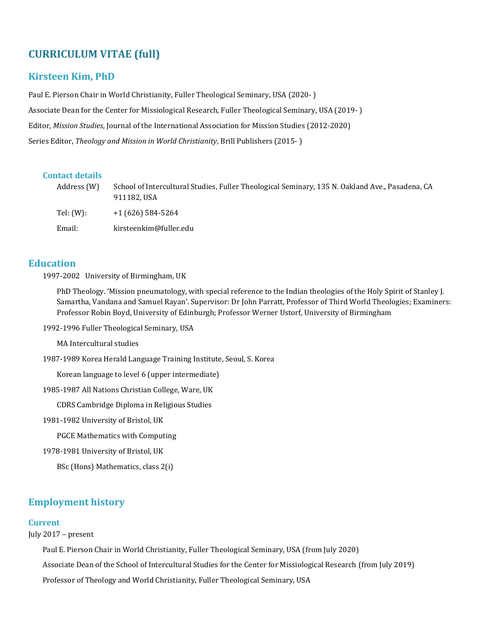# **CURRICULUM VITAE (full)**

## **Kirsteen Kim, PhD**

Paul E. Pierson Chair in World Christianity, Fuller Theological Seminary, USA (2020- ) Associate Dean for the Center for Missiological Research, Fuller Theological Seminary, USA (2019- ) Editor, *Mission Studies*, Journal of the International Association for Mission Studies (2012-2020) Series Editor, *Theology and Mission in World Christianity*, Brill Publishers (2015- )

## **Contact details**

| Address (W) | School of Intercultural Studies, Fuller Theological Seminary, 135 N. Oakland Ave., Pasadena, CA<br>911182.USA |
|-------------|---------------------------------------------------------------------------------------------------------------|
| Tel: (W):   | $+1(626)$ 584-5264                                                                                            |
| Email:      | kirsteenkim@fuller.edu                                                                                        |

## **Education**

1997-2002 University of Birmingham, UK

PhD Theology. 'Mission pneumatology, with special reference to the Indian theologies of the Holy Spirit of Stanley J. Samartha, Vandana and Samuel Rayan'. Supervisor: Dr John Parratt, Professor of Third World Theologies; Examiners: Professor Robin Boyd, University of Edinburgh; Professor Werner Ustorf, University of Birmingham

1992-1996 Fuller Theological Seminary, USA

MA Intercultural studies

1987-1989 Korea Herald Language Training Institute, Seoul, S. Korea

Korean language to level 6 (upper intermediate)

1985-1987 All Nations Christian College, Ware, UK

CDRS Cambridge Diploma in Religious Studies

1981-1982 University of Bristol, UK

PGCE Mathematics with Computing

1978-1981 University of Bristol, UK

BSc (Hons) Mathematics, class 2(i)

## **Employment history**

### **Current**

July 2017 – present

Paul E. Pierson Chair in World Christianity, Fuller Theological Seminary, USA (from July 2020)

Associate Dean of the School of Intercultural Studies for the Center for Missiological Research (from July 2019)

Professor of Theology and World Christianity, Fuller Theological Seminary, USA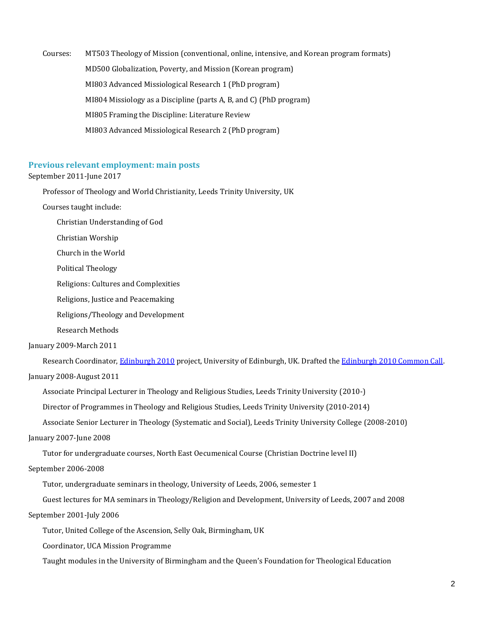Courses: MT503 Theology of Mission (conventional, online, intensive, and Korean program formats) MD500 Globalization, Poverty, and Mission (Korean program) MI803 Advanced Missiological Research 1 (PhD program) MI804 Missiology as a Discipline (parts A, B, and C) (PhD program) MI805 Framing the Discipline: Literature Review MI803 Advanced Missiological Research 2 (PhD program)

## **Previous relevant employment: main posts**

#### September 2011-June 2017

Professor of Theology and World Christianity, Leeds Trinity University, UK

Courses taught include:

Christian Understanding of God

Christian Worship

Church in the World

Political Theology

Religions: Cultures and Complexities

Religions, Justice and Peacemaking

Religions/Theology and Development

Research Methods

January 2009-March 2011

Research Coordinator[, Edinburgh 2010](http://www.edinburgh2010.org/) project, University of Edinburgh, UK. Drafted th[e Edinburgh 2010 Common Call.](http://www.edinburgh2010.org/fileadmin/Edinburgh_2010_Common_Call_with_explanation.pdf) January 2008-August 2011

Associate Principal Lecturer in Theology and Religious Studies, Leeds Trinity University (2010-)

Director of Programmes in Theology and Religious Studies, Leeds Trinity University (2010-2014)

Associate Senior Lecturer in Theology (Systematic and Social), Leeds Trinity University College (2008-2010)

January 2007-June 2008

Tutor for undergraduate courses, North East Oecumenical Course (Christian Doctrine level II)

September 2006-2008

Tutor, undergraduate seminars in theology, University of Leeds, 2006, semester 1

Guest lectures for MA seminars in Theology/Religion and Development, University of Leeds, 2007 and 2008

#### September 2001-July 2006

Tutor, United College of the Ascension, Selly Oak, Birmingham, UK

Coordinator, UCA Mission Programme

Taught modules in the University of Birmingham and the Queen's Foundation for Theological Education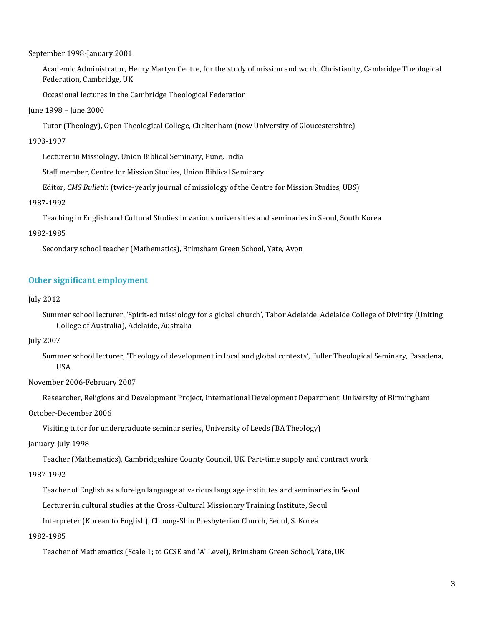September 1998-January 2001

Academic Administrator, Henry Martyn Centre, for the study of mission and world Christianity, Cambridge Theological Federation, Cambridge, UK

Occasional lectures in the Cambridge Theological Federation

#### June 1998 – June 2000

Tutor (Theology), Open Theological College, Cheltenham (now University of Gloucestershire)

#### 1993-1997

Lecturer in Missiology, Union Biblical Seminary, Pune, India

Staff member, Centre for Mission Studies, Union Biblical Seminary

Editor, *CMS Bulletin* (twice-yearly journal of missiology of the Centre for Mission Studies, UBS)

#### 1987-1992

Teaching in English and Cultural Studies in various universities and seminaries in Seoul, South Korea

#### 1982-1985

Secondary school teacher (Mathematics), Brimsham Green School, Yate, Avon

## **Other significant employment**

#### July 2012

Summer school lecturer, 'Spirit-ed missiology for a global church', Tabor Adelaide, Adelaide College of Divinity (Uniting College of Australia), Adelaide, Australia

#### July 2007

Summer school lecturer, 'Theology of development in local and global contexts', Fuller Theological Seminary, Pasadena, USA

November 2006-February 2007

Researcher, Religions and Development Project, International Development Department, University of Birmingham

October-December 2006

Visiting tutor for undergraduate seminar series, University of Leeds (BA Theology)

January-July 1998

Teacher (Mathematics), Cambridgeshire County Council, UK. Part-time supply and contract work

### 1987-1992

Teacher of English as a foreign language at various language institutes and seminaries in Seoul

Lecturer in cultural studies at the Cross-Cultural Missionary Training Institute, Seoul

Interpreter (Korean to English), Choong-Shin Presbyterian Church, Seoul, S. Korea

### 1982-1985

Teacher of Mathematics (Scale 1; to GCSE and 'A' Level), Brimsham Green School, Yate, UK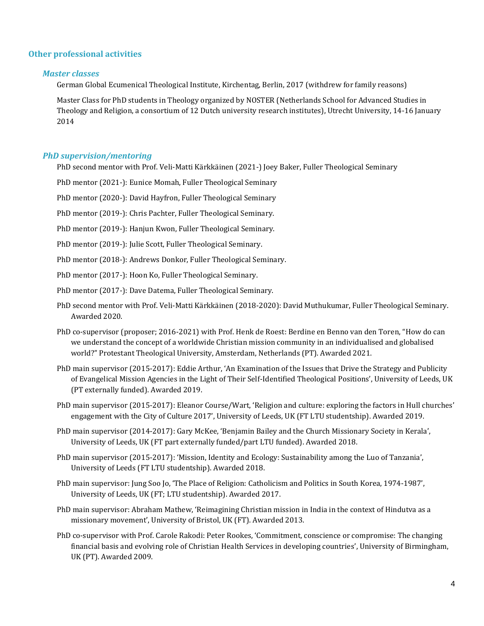## **Other professional activities**

## *Master classes*

German Global Ecumenical Theological Institute, Kirchentag, Berlin, 2017 (withdrew for family reasons)

Master Class for PhD students in Theology organized by NOSTER (Netherlands School for Advanced Studies in Theology and Religion, a consortium of 12 Dutch university research institutes), Utrecht University, 14-16 January 2014

## *PhD supervision/mentoring*

PhD second mentor with Prof. Veli-Matti Kärkkäinen (2021-) Joey Baker, Fuller Theological Seminary

PhD mentor (2021-): Eunice Momah, Fuller Theological Seminary

PhD mentor (2020-): David Hayfron, Fuller Theological Seminary

PhD mentor (2019-): Chris Pachter, Fuller Theological Seminary.

PhD mentor (2019-): Hanjun Kwon, Fuller Theological Seminary.

PhD mentor (2019-): Julie Scott, Fuller Theological Seminary.

PhD mentor (2018-): Andrews Donkor, Fuller Theological Seminary.

PhD mentor (2017-): Hoon Ko, Fuller Theological Seminary.

PhD mentor (2017-): Dave Datema, Fuller Theological Seminary.

- PhD second mentor with Prof. Veli-Matti Kärkkäinen (2018-2020): David Muthukumar, Fuller Theological Seminary. Awarded 2020.
- PhD co-supervisor (proposer; 2016-2021) with Prof. Henk de Roest: Berdine en Benno van den Toren, "How do can we understand the concept of a worldwide Christian mission community in an individualised and globalised world?" Protestant Theological University, Amsterdam, Netherlands (PT). Awarded 2021.
- PhD main supervisor (2015-2017): Eddie Arthur, 'An Examination of the Issues that Drive the Strategy and Publicity of Evangelical Mission Agencies in the Light of Their Self-Identified Theological Positions', University of Leeds, UK (PT externally funded). Awarded 2019.
- PhD main supervisor (2015-2017): Eleanor Course/Wart, 'Religion and culture: exploring the factors in Hull churches' engagement with the City of Culture 2017', University of Leeds, UK (FT LTU studentship). Awarded 2019.
- PhD main supervisor (2014-2017): Gary McKee, 'Benjamin Bailey and the Church Missionary Society in Kerala', University of Leeds, UK (FT part externally funded/part LTU funded). Awarded 2018.
- PhD main supervisor (2015-2017): 'Mission, Identity and Ecology: Sustainability among the Luo of Tanzania', University of Leeds (FT LTU studentship). Awarded 2018.
- PhD main supervisor: Jung Soo Jo, 'The Place of Religion: Catholicism and Politics in South Korea, 1974-1987', University of Leeds, UK (FT; LTU studentship). Awarded 2017.
- PhD main supervisor: Abraham Mathew, 'Reimagining Christian mission in India in the context of Hindutva as a missionary movement', University of Bristol, UK (FT). Awarded 2013.
- PhD co-supervisor with Prof. Carole Rakodi: Peter Rookes, 'Commitment, conscience or compromise: The changing financial basis and evolving role of Christian Health Services in developing countries', University of Birmingham, UK (PT). Awarded 2009.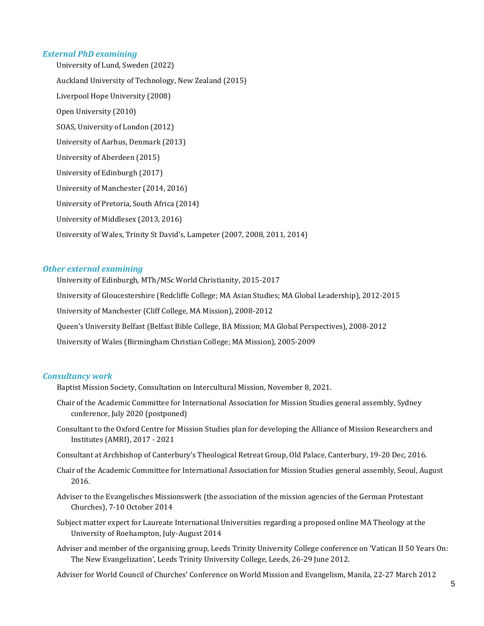## *External PhD examining*

University of Lund, Sweden (2022) Auckland University of Technology, New Zealand (2015) Liverpool Hope University (2008) Open University (2010) SOAS, University of London (2012) University of Aarhus, Denmark (2013) University of Aberdeen (2015) University of Edinburgh (2017) University of Manchester (2014, 2016) University of Pretoria, South Africa (2014) University of Middlesex (2013, 2016) University of Wales, Trinity St David's, Lampeter (2007, 2008, 2011, 2014)

## *Other external examining*

University of Edinburgh, MTh/MSc World Christianity, 2015-2017 University of Gloucestershire (Redcliffe College; MA Asian Studies; MA Global Leadership), 2012-2015 University of Manchester (Cliff College, MA Mission), 2008-2012 Queen's University Belfast (Belfast Bible College, BA Mission; MA Global Perspectives), 2008-2012 University of Wales (Birmingham Christian College; MA Mission), 2005-2009

## *Consultancy work*

Baptist Mission Society, Consultation on Intercultural Mission, November 8, 2021.

- Chair of the Academic Committee for International Association for Mission Studies general assembly, Sydney conference, July 2020 (postponed)
- Consultant to the Oxford Centre for Mission Studies plan for developing the Alliance of Mission Researchers and Institutes (AMRI), 2017 - 2021
- Consultant at Archbishop of Canterbury's Theological Retreat Group, Old Palace, Canterbury, 19-20 Dec, 2016.
- Chair of the Academic Committee for International Association for Mission Studies general assembly, Seoul, August 2016.
- Adviser to the Evangelisches Missionswerk (the association of the mission agencies of the German Protestant Churches), 7-10 October 2014
- Subject matter expert for Laureate International Universities regarding a proposed online MA Theology at the University of Roehampton, July-August 2014
- Adviser and member of the organising group, Leeds Trinity University College conference on 'Vatican II 50 Years On: The New Evangelization', Leeds Trinity University College, Leeds, 26-29 June 2012.
- Adviser for World Council of Churches' Conference on World Mission and Evangelism, Manila, 22-27 March 2012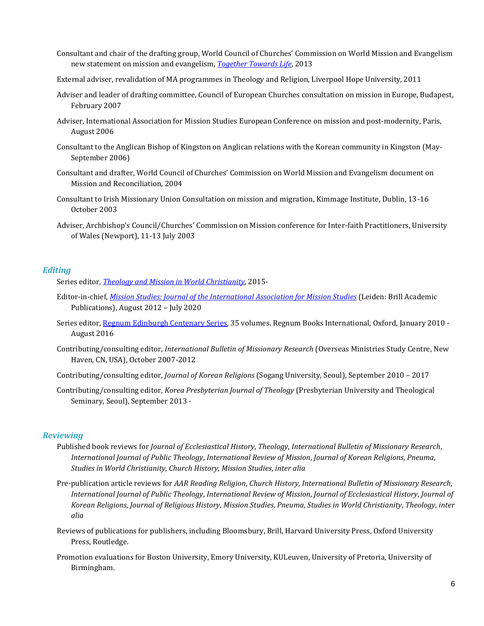- Consultant and chair of the drafting group, World Council of Churches' Commission on World Mission and Evangelism new statement on mission and evangelism, *[Together Towards Life](https://www.oikoumene.org/en/resources/documents/commissions/mission-and-evangelism/together-towards-life-mission-and-evangelism-in-changing-landscapes)*, 2013
- External adviser, revalidation of MA programmes in Theology and Religion, Liverpool Hope University, 2011
- Adviser and leader of drafting committee, Council of European Churches consultation on mission in Europe, Budapest, February 2007
- Adviser, International Association for Mission Studies European Conference on mission and post-modernity, Paris, August 2006
- Consultant to the Anglican Bishop of Kingston on Anglican relations with the Korean community in Kingston (May-September 2006)
- Consultant and drafter, World Council of Churches' Commission on World Mission and Evangelism document on Mission and Reconciliation, 2004
- Consultant to Irish Missionary Union Consultation on mission and migration, Kimmage Institute, Dublin, 13-16 October 2003
- Adviser, Archbishop's Council/Churches' Commission on Mission conference for Inter-faith Practitioners, University of Wales (Newport), 11-13 July 2003

### *Editing*

Series editor, *[Theology and Mission in World Christianity](http://www.brill.com/products/series/theology-and-mission-world-christianity)*, 2015-

- Editor-in-chief, *[Mission Studies: Journal of the International](http://www.brill.com/mission-studies) Association for Mission Studies* (Leiden: Brill Academic Publications), August 2012 – July 2020
- Series editor[, Regnum Edinburgh Centenary Series,](http://www.ocms.ac.uk/regnum/list.php?cat=3) 35 volumes. Regnum Books International, Oxford, January 2010 August 2016
- Contributing/consulting editor, *International Bulletin of Missionary Research* (Overseas Ministries Study Centre, New Haven, CN, USA), October 2007-2012
- Contributing/consulting editor, *Journal of Korean Religions* (Sogang University, Seoul), September 2010 2017
- Contributing/consulting editor, *Korea Presbyterian Journal of Theology* (Presbyterian University and Theological Seminary, Seoul), September 2013 -

### *Reviewing*

- Published book reviews for *Journal of Ecclesiastical History*, *Theology*, *International Bulletin of Missionary Research*, *International Journal of Public Theology*, *International Review of Mission*, *Journal of Korean Religions*, *Pneuma*, *Studies in World Christianity*, *Church History*, *Mission Studies*, *inter alia*
- Pre-publication article reviews for *AAR Reading Religion*, *Church History*, *International Bulletin of Missionary Research*, *International Journal of Public Theology*, *International Review of Mission*, *Journal of Ecclesiastical History*, *Journal of Korean Religions*, *Journal of Religious History*, *Mission Studies*, *Pneuma*, *Studies in World Christianity*, *Theology*, *inter alia*
- Reviews of publications for publishers, including Bloomsbury, Brill, Harvard University Press, Oxford University Press, Routledge.
- Promotion evaluations for Boston University, Emory University, KULeuven, University of Pretoria, University of Birmingham.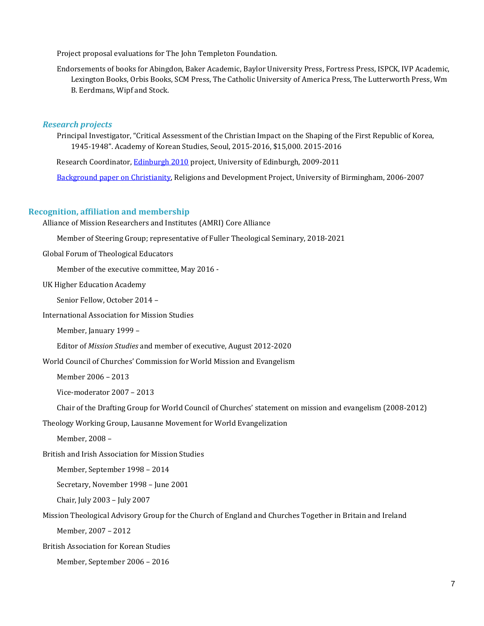Project proposal evaluations for The John Templeton Foundation.

Endorsements of books for Abingdon, Baker Academic, Baylor University Press, Fortress Press, ISPCK, IVP Academic, Lexington Books, Orbis Books, SCM Press, The Catholic University of America Press, The Lutterworth Press, Wm B. Eerdmans, Wipf and Stock.

#### *Research projects*

Principal Investigator, "Critical Assessment of the Christian Impact on the Shaping of the First Republic of Korea, 1945-1948". Academy of Korean Studies, Seoul, 2015-2016, \$15,000. 2015-2016

Research Coordinator[, Edinburgh 2010](https://www.edinburgh2010.org/) project, University of Edinburgh, 2009-2011

[Background paper on Christianity,](http://www.birmingham.ac.uk/schools/government-society/departments/international-development/rad/index.aspx) Religions and Development Project, University of Birmingham, 2006-2007

#### **Recognition, affiliation and membership**

Alliance of Mission Researchers and Institutes (AMRI) Core Alliance

Member of Steering Group; representative of Fuller Theological Seminary, 2018-2021

Global Forum of Theological Educators

Member of the executive committee, May 2016 -

UK Higher Education Academy

Senior Fellow, October 2014 –

International Association for Mission Studies

Member, January 1999 –

Editor of *Mission Studies* and member of executive, August 2012-2020

World Council of Churches' Commission for World Mission and Evangelism

Member 2006 – 2013

Vice-moderator 2007 – 2013

Chair of the Drafting Group for World Council of Churches' statement on mission and evangelism (2008-2012)

Theology Working Group, Lausanne Movement for World Evangelization

Member, 2008 –

British and Irish Association for Mission Studies

Member, September 1998 – 2014

Secretary, November 1998 – June 2001

Chair, July 2003 – July 2007

#### Mission Theological Advisory Group for the Church of England and Churches Together in Britain and Ireland

Member, 2007 – 2012

British Association for Korean Studies

Member, September 2006 – 2016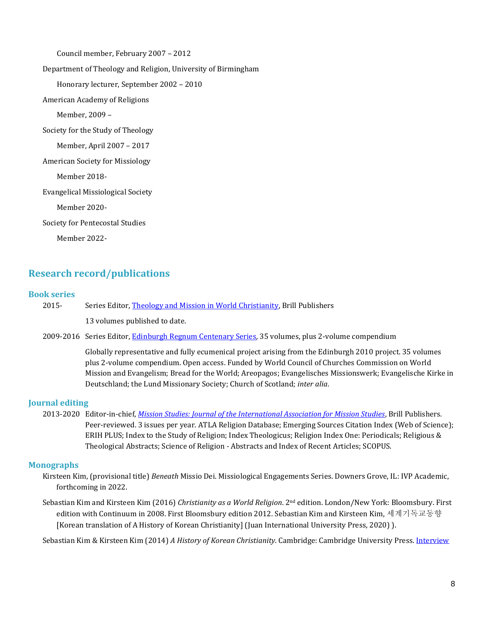Council member, February 2007 – 2012 Department of Theology and Religion, University of Birmingham Honorary lecturer, September 2002 – 2010 American Academy of Religions Member, 2009 – Society for the Study of Theology Member, April 2007 – 2017 American Society for Missiology Member 2018- Evangelical Missiological Society Member 2020- Society for Pentecostal Studies Member 2022-

# **Research record/publications**

#### **Book series**

| 2015- | Series Editor, Theology and Mission in World Christianity, Brill Publishers |
|-------|-----------------------------------------------------------------------------|
|       | 13 volumes published to date.                                               |

2009-2016 Series Editor[, Edinburgh Regnum Centenary Series,](http://www.ocms.ac.uk/regnum/list.php?cat=3) 35 volumes, plus 2-volume compendium

Globally representative and fully ecumenical project arising from the Edinburgh 2010 project. 35 volumes plus 2-volume compendium. Open access. Funded by World Council of Churches Commission on World Mission and Evangelism; Bread for the World; Areopagos; Evangelisches Missionswerk; Evangelische Kirke in Deutschland; the Lund Missionary Society; Church of Scotland; *inter alia*.

## **Journal editing**

2013-2020 Editor-in-chief, *[Mission Studies: Journal of the International Association for Mission Studies](http://www.brill.com/mission-studies)*, Brill Publishers. Peer-reviewed. 3 issues per year. ATLA Religion Database; Emerging Sources Citation Index (Web of Science); ERIH PLUS; Index to the Study of Religion; Index Theologicus; Religion Index One: Periodicals; Religious & Theological Abstracts; Science of Religion - Abstracts and Index of Recent Articles; SCOPUS.

### **Monographs**

- Kirsteen Kim, (provisional title) *Beneath* Missio Dei. Missiological Engagements Series. Downers Grove, IL: IVP Academic, forthcoming in 2022.
- Sebastian Kim and Kirsteen Kim (2016) *Christianity as a World Religion*. 2nd edition. London/New York: Bloomsbury. First edition with Continuum in 2008. First Bloomsbury edition 2012. Sebastian Kim and Kirsteen Kim, 세계기독교동향 [Korean translation of A History of Korean Christianity] (Juan International University Press, 2020) ).

Sebastian Kim & Kirsteen Kim (2014) *A History of Korean Christianity*. Cambridge: Cambridge University Press[. Interview](http://newbooksinchristianstudies.com/2015/07/26/kristeen-kim-and-sebastian-c-h-kim-a-history-of-korean-christianity-cambridge-up-2014/)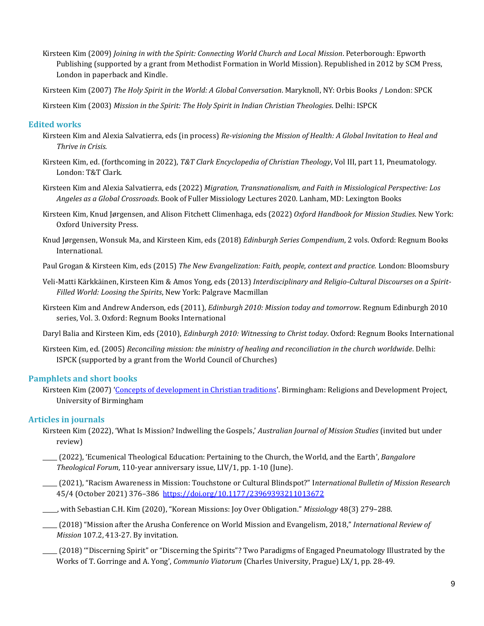- Kirsteen Kim (2009) *Joining in with the Spirit: Connecting World Church and Local Mission*. Peterborough: Epworth Publishing (supported by a grant from Methodist Formation in World Mission). Republished in 2012 by SCM Press, London in paperback and Kindle.
- Kirsteen Kim (2007) *The Holy Spirit in the World: A Global Conversation*. Maryknoll, NY: Orbis Books / London: SPCK

Kirsteen Kim (2003) *Mission in the Spirit: The Holy Spirit in Indian Christian Theologies*. Delhi: ISPCK

## **Edited works**

- Kirsteen Kim and Alexia Salvatierra, eds (in process) *Re-visioning the Mission of Health: A Global Invitation to Heal and Thrive in Crisis.*
- Kirsteen Kim, ed. (forthcoming in 2022), *T&T Clark Encyclopedia of Christian Theology*, Vol III, part 11, Pneumatology. London: T&T Clark.
- Kirsteen Kim and Alexia Salvatierra, eds (2022) *Migration, Transnationalism, and Faith in Missiological Perspective: Los Angeles as a Global Crossroads*. Book of Fuller Missiology Lectures 2020. Lanham, MD: Lexington Books
- Kirsteen Kim, Knud Jørgensen, and Alison Fitchett Climenhaga, eds (2022) *Oxford Handbook for Mission Studies*. New York: Oxford University Press.
- Knud Jørgensen, Wonsuk Ma, and Kirsteen Kim, eds (2018) *Edinburgh Series Compendium*, 2 vols. Oxford: Regnum Books International.
- Paul Grogan & Kirsteen Kim, eds (2015) *The New Evangelization: Faith, people, context and practice.* London: Bloomsbury
- Veli-Matti Kärkkäinen, Kirsteen Kim & Amos Yong, eds (2013) *Interdisciplinary and Religio-Cultural Discourses on a Spirit-Filled World: Loosing the Spirits*, New York: Palgrave Macmillan
- Kirsteen Kim and Andrew Anderson, eds (2011), *Edinburgh 2010: Mission today and tomorrow*. Regnum Edinburgh 2010 series, Vol. 3. Oxford: Regnum Books International

Daryl Balia and Kirsteen Kim, eds (2010), *Edinburgh 2010: Witnessing to Christ today*. Oxford: Regnum Books International

Kirsteen Kim, ed. (2005) *Reconciling mission: the ministry of healing and reconciliation in the church worldwide*. Delhi: ISPCK (supported by a grant from the World Council of Churches)

### **Pamphlets and short books**

Kirsteen Kim (2007) '[Concepts of development in Christian traditions](https://www.birmingham.ac.uk/Documents/college-social-sciences/government-society/research/rad/working-papers/wp-16.pdf)'. Birmingham: Religions and Development Project, University of Birmingham

## **Articles in journals**

- Kirsteen Kim (2022), 'What Is Mission? Indwelling the Gospels,' *Australian Journal of Mission Studies* (invited but under review)
- \_\_\_\_\_ (2022), 'Ecumenical Theological Education: Pertaining to the Church, the World, and the Earth', *Bangalore Theological Forum*, 110-year anniversary issue, LIV/1, pp. 1-10 (June).
- \_\_\_\_\_ (2021), "Racism Awareness in Mission: Touchstone or Cultural Blindspot?" I*nternational Bulletin of Mission Research* 45/4 (October 2021) 376–386<https://doi.org/10.1177/23969393211013672>
- \_\_\_\_\_, with Sebastian C.H. Kim (2020), "Korean Missions: Joy Over Obligation." *Missiology* 48(3) 279–288.
- \_\_\_\_\_ (2018) "Mission after the Arusha Conference on World Mission and Evangelism, 2018," *International Review of Mission* 107.2, 413-27. By invitation.
- \_\_\_\_\_ (2018) '"Discerning Spirit" or "Discerning the Spirits"? Two Paradigms of Engaged Pneumatology Illustrated by the Works of T. Gorringe and A. Yong', *Communio Viatorum* (Charles University, Prague) LX/1, pp. 28-49.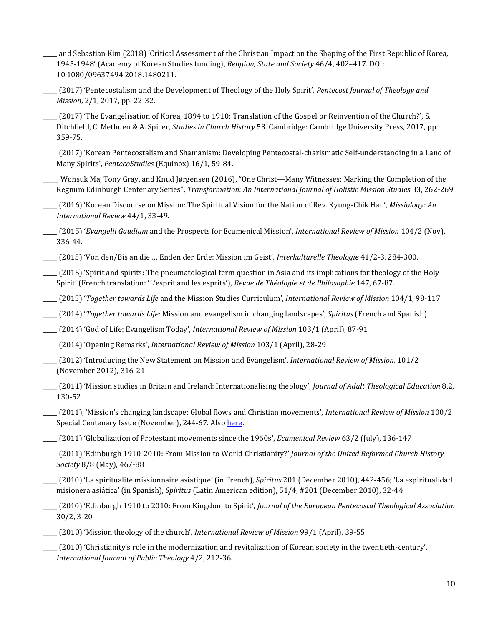- \_\_\_\_\_ and Sebastian Kim (2018) 'Critical Assessment of the Christian Impact on the Shaping of the First Republic of Korea, 1945-1948' (Academy of Korean Studies funding), *Religion, State and Society* 46/4, 402–417. DOI: 10.1080/09637494.2018.1480211.
- \_\_\_\_\_ (2017) 'Pentecostalism and the Development of Theology of the Holy Spirit', *Pentecost Journal of Theology and Mission*, 2/1, 2017, pp. 22-32.
- \_\_\_\_\_ (2017) 'The Evangelisation of Korea, 1894 to 1910: Translation of the Gospel or Reinvention of the Church?', S. Ditchfield, C. Methuen & A. Spicer, *Studies in Church History* 53. Cambridge: Cambridge University Press, 2017, pp. 359-75.
- \_\_\_\_\_ (2017) 'Korean Pentecostalism and Shamanism: Developing Pentecostal-charismatic Self-understanding in a Land of Many Spirits', *PentecoStudies* (Equinox) 16/1, 59-84.
- \_\_\_\_\_, Wonsuk Ma, Tony Gray, and Knud Jørgensen (2016), "One Christ—Many Witnesses: Marking the Completion of the Regnum Edinburgh Centenary Series", *Transformation: An International Journal of Holistic Mission Studies* 33, 262-269
- \_\_\_\_\_ (2016) 'Korean Discourse on Mission: The Spiritual Vision for the Nation of Rev. Kyung-Chik Han', *Missiology: An International Review* 44/1, 33-49.
- \_\_\_\_\_ (2015) '*Evangelii Gaudium* and the Prospects for Ecumenical Mission', *International Review of Mission* 104/2 (Nov), 336-44.
- \_\_\_\_\_ (2015) 'Von den/Bis an die … Enden der Erde: Mission im Geist', *Interkulturelle Theologie* 41/2-3, 284-300.
- \_\_\_\_\_ (2015) 'Spirit and spirits: The pneumatological term question in Asia and its implications for theology of the Holy Spirit' (French translation: 'L'esprit and les esprits'), *Revue de Théologie et de Philosophie* 147, 67-87.
- \_\_\_\_\_ (2015) '*Together towards Life* and the Mission Studies Curriculum', *International Review of Mission* 104/1, 98-117.
- \_\_\_\_\_ (2014) '*Together towards Life*: Mission and evangelism in changing landscapes', *Spiritus* (French and Spanish)
- \_\_\_\_\_ (2014) 'God of Life: Evangelism Today', *International Review of Mission* 103/1 (April), 87-91
- \_\_\_\_\_ (2014) 'Opening Remarks', *International Review of Mission* 103/1 (April), 28-29
- \_\_\_\_\_ (2012) 'Introducing the New Statement on Mission and Evangelism', *International Review of Mission*, 101/2 (November 2012), 316-21
- \_\_\_\_\_ (2011) 'Mission studies in Britain and Ireland: Internationalising theology', *Journal of Adult Theological Education* 8.2, 130-52
- \_\_\_\_\_ (2011), 'Mission's changing landscape: Global flows and Christian movements', *International Review of Mission* 100/2 Special Centenary Issue (November), 244-67. Als[o here.](http://wileyblackwellexchanges.com/2012/11/07/virtual-issue-migration-and-society-part-2-now-live/)
- \_\_\_\_\_ (2011) 'Globalization of Protestant movements since the 1960s', *Ecumenical Review* 63/2 (July), 136-147
	- \_\_\_\_\_ (2011) 'Edinburgh 1910-2010: From Mission to World Christianity?' *Journal of the United Reformed Church History Society* 8/8 (May), 467-88
	- \_\_\_\_\_ (2010) 'La spiritualité missionnaire asiatique' (in French), *Spiritus* 201 (December 2010), 442-456; 'La espiritualidad misionera asiática' (in Spanish), *Spiritus* (Latin American edition), 51/4, #201 (December 2010), 32-44
	- \_\_\_\_\_ (2010) 'Edinburgh 1910 to 2010: From Kingdom to Spirit', *Journal of the European Pentecostal Theological Association* 30/2, 3-20
	- \_\_\_\_\_ (2010) 'Mission theology of the church', *International Review of Mission* 99/1 (April), 39-55
- \_\_\_\_\_ (2010) 'Christianity's role in the modernization and revitalization of Korean society in the twentieth-century', *International Journal of Public Theology* 4/2, 212-36.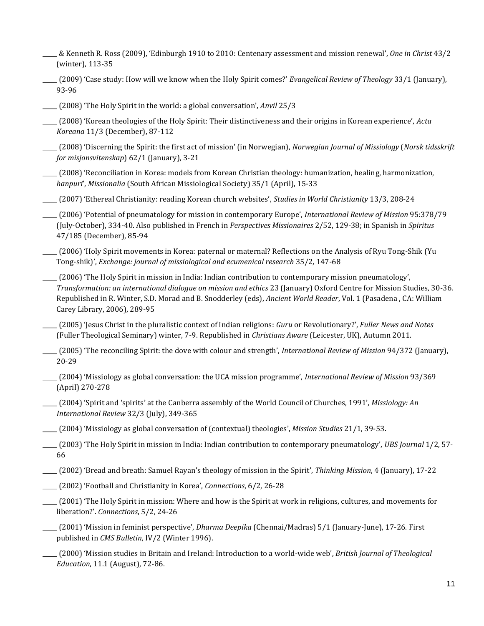- \_\_\_\_\_ & Kenneth R. Ross (2009), 'Edinburgh 1910 to 2010: Centenary assessment and mission renewal', *One in Christ* 43/2 (winter), 113-35
- \_\_\_\_\_ (2009) 'Case study: How will we know when the Holy Spirit comes?' *Evangelical Review of Theology* 33/1 (January), 93-96
- \_\_\_\_\_ (2008) 'The Holy Spirit in the world: a global conversation', *Anvil* 25/3
- \_\_\_\_\_ (2008) 'Korean theologies of the Holy Spirit: Their distinctiveness and their origins in Korean experience', *Acta Koreana* 11/3 (December), 87-112
- \_\_\_\_\_ (2008) 'Discerning the Spirit: the first act of mission' (in Norwegian), *Norwegian Journal of Missiology* (*Norsk tidsskrift for misjonsvitenskap*) 62/1 (January), 3-21
- \_\_\_\_\_ (2008) 'Reconciliation in Korea: models from Korean Christian theology: humanization, healing, harmonization, *hanpuri*', *Missionalia* (South African Missiological Society) 35/1 (April), 15-33
- \_\_\_\_\_ (2007) 'Ethereal Christianity: reading Korean church websites', *Studies in World Christianity* 13/3, 208-24
- \_\_\_\_\_ (2006) 'Potential of pneumatology for mission in contemporary Europe', *International Review of Mission* 95:378/79 (July-October), 334-40. Also published in French in *Perspectives Missionaires* 2/52, 129-38; in Spanish in *Spiritus* 47/185 (December), 85-94
- \_\_\_\_\_ (2006) 'Holy Spirit movements in Korea: paternal or maternal? Reflections on the Analysis of Ryu Tong-Shik (Yu Tong-shik)', *Exchange: journal of missiological and ecumenical research* 35/2, 147-68
- \_\_\_\_\_ (2006) 'The Holy Spirit in mission in India: Indian contribution to contemporary mission pneumatology', *Transformation: an international dialogue on mission and ethics* 23 (January) Oxford Centre for Mission Studies, 30-36. Republished in R. Winter, S.D. Morad and B. Snodderley (eds), *Ancient World Reader*, Vol. 1 (Pasadena , CA: William Carey Library, 2006), 289-95
- \_\_\_\_\_ (2005) 'Jesus Christ in the pluralistic context of Indian religions: *Guru* or Revolutionary?', *Fuller News and Notes* (Fuller Theological Seminary) winter, 7-9. Republished in *Christians Aware* (Leicester, UK), Autumn 2011.
- \_\_\_\_\_ (2005) 'The reconciling Spirit: the dove with colour and strength', *International Review of Mission* 94/372 (January), 20-29
- \_\_\_\_\_ (2004) 'Missiology as global conversation: the UCA mission programme', *International Review of Mission* 93/369 (April) 270-278
- \_\_\_\_\_ (2004) 'Spirit and 'spirits' at the Canberra assembly of the World Council of Churches, 1991', *Missiology: An International Review* 32/3 (July), 349-365
- \_\_\_\_\_ (2004) 'Missiology as global conversation of (contextual) theologies', *Mission Studies* 21/1, 39-53.
- \_\_\_\_\_ (2003) 'The Holy Spirit in mission in India: Indian contribution to contemporary pneumatology', *UBS Journal* 1/2, 57- 66
- \_\_\_\_\_ (2002) 'Bread and breath: Samuel Rayan's theology of mission in the Spirit', *Thinking Mission*, 4 (January), 17-22
- \_\_\_\_\_ (2002) 'Football and Christianity in Korea', *Connections*, 6/2, 26-28
- \_\_\_\_\_ (2001) 'The Holy Spirit in mission: Where and how is the Spirit at work in religions, cultures, and movements for liberation?'. *Connections*, 5/2, 24-26
- \_\_\_\_\_ (2001) 'Mission in feminist perspective', *Dharma Deepika* (Chennai/Madras) 5/1 (January-June), 17-26. First published in *CMS Bulletin*, IV/2 (Winter 1996).
- \_\_\_\_\_ (2000) 'Mission studies in Britain and Ireland: Introduction to a world-wide web', *British Journal of Theological Education*, 11.1 (August), 72-86.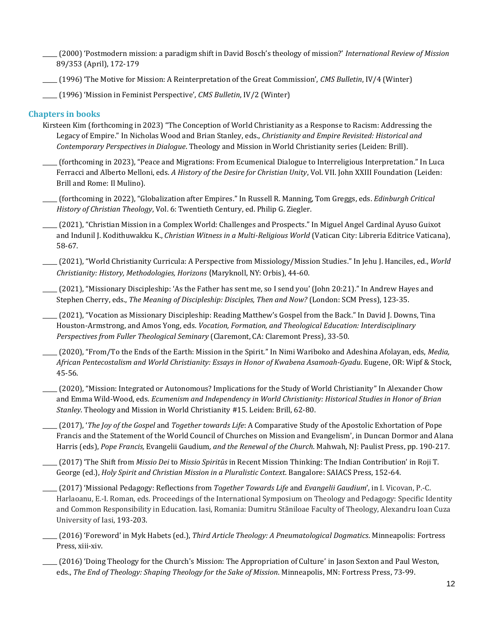- \_\_\_\_\_ (2000) 'Postmodern mission: a paradigm shift in David Bosch's theology of mission?' *International Review of Mission* 89/353 (April), 172-179
- \_\_\_\_\_ (1996) 'The Motive for Mission: A Reinterpretation of the Great Commission', *CMS Bulletin*, IV/4 (Winter)
- \_\_\_\_\_ (1996) 'Mission in Feminist Perspective', *CMS Bulletin*, IV/2 (Winter)

## **Chapters in books**

- Kirsteen Kim (forthcoming in 2023) "The Conception of World Christianity as a Response to Racism: Addressing the Legacy of Empire." In Nicholas Wood and Brian Stanley, eds., *Christianity and Empire Revisited: Historical and Contemporary Perspectives in Dialogue*. Theology and Mission in World Christianity series (Leiden: Brill).
- \_\_\_\_\_ (forthcoming in 2023), "Peace and Migrations: From Ecumenical Dialogue to Interreligious Interpretation." In Luca Ferracci and Alberto Melloni, eds. *A History of the Desire for Christian Unity*, Vol. VII. John XXIII Foundation (Leiden: Brill and Rome: Il Mulino).
- \_\_\_\_\_ (forthcoming in 2022), "Globalization after Empires." In Russell R. Manning, Tom Greggs, eds. *Edinburgh Critical History of Christian Theology*, Vol. 6: Twentieth Century, ed. Philip G. Ziegler.
- \_\_\_\_\_ (2021), "Christian Mission in a Complex World: Challenges and Prospects." In Miguel Angel Cardinal Ayuso Guixot and Indunil J. Kodithuwakku K., *Christian Witness in a Multi-Religious World* (Vatican City: Libreria Editrice Vaticana), 58-67.
- \_\_\_\_\_ (2021), "World Christianity Curricula: A Perspective from Missiology/Mission Studies." In Jehu J. Hanciles, ed., *World Christianity: History, Methodologies, Horizons* (Maryknoll, NY: Orbis), 44-60.
- \_\_\_\_\_ (2021), "Missionary Discipleship: 'As the Father has sent me, so I send you' (John 20:21)." In Andrew Hayes and Stephen Cherry, eds., *The Meaning of Discipleship: Disciples, Then and Now?* (London: SCM Press), 123-35.
- \_\_\_\_\_ (2021), "Vocation as Missionary Discipleship: Reading Matthew's Gospel from the Back." In David J. Downs, Tina Houston-Armstrong, and Amos Yong, eds. *Vocation, Formation, and Theological Education: Interdisciplinary Perspectives from Fuller Theological Seminary* (Claremont, CA: Claremont Press), 33-50.
- \_\_\_\_\_ (2020), "From/To the Ends of the Earth: Mission in the Spirit." In Nimi Wariboko and Adeshina Afolayan, eds, *Media, African Pentecostalism and World Christianity: Essays in Honor of Kwabena Asamoah-Gyadu*. Eugene, OR: Wipf & Stock, 45-56.
- \_\_\_\_\_ (2020), "Mission: Integrated or Autonomous? Implications for the Study of World Christianity" In Alexander Chow and Emma Wild-Wood, eds. *Ecumenism and Independency in World Christianity: Historical Studies in Honor of Brian Stanley*. Theology and Mission in World Christianity #15. Leiden: Brill, 62-80.
- \_\_\_\_\_ (2017), '*The Joy of the Gospel* and *Together towards Life*: A Comparative Study of the Apostolic Exhortation of Pope Francis and the Statement of the World Council of Churches on Mission and Evangelism', in Duncan Dormor and Alana Harris (eds), *Pope Francis,* Evangelii Gaudium*, and the Renewal of the Church*. Mahwah, NJ: Paulist Press, pp. 190-217.
- \_\_\_\_\_ (2017) 'The Shift from *Missio Dei* to *Missio Spiritūs* in Recent Mission Thinking: The Indian Contribution' in Roji T. George (ed.), *Holy Spirit and Christian Mission in a Pluralistic Context*. Bangalore: SAIACS Press, 152-64.
- \_\_\_\_\_ (2017) 'Missional Pedagogy: Reflections from *Together Towards Life* and *Evangelii Gaudium*', in I. Vicovan, P.-C. Harlaoanu, E.-I. Roman, eds. Proceedings of the International Symposium on Theology and Pedagogy: Specific Identity and Common Responsibility in Education. Iasi, Romania: Dumitru Stăniloae Faculty of Theology, Alexandru Ioan Cuza University of Iasi, 193-203.
- \_\_\_\_\_ (2016) 'Foreword' in Myk Habets (ed.), *Third Article Theology: A Pneumatological Dogmatics*. Minneapolis: Fortress Press, xiii-xiv.
- \_\_\_\_\_ (2016) 'Doing Theology for the Church's Mission: The Appropriation of Culture' in Jason Sexton and Paul Weston, eds., *The End of Theology: Shaping Theology for the Sake of Mission*. Minneapolis, MN: Fortress Press, 73-99.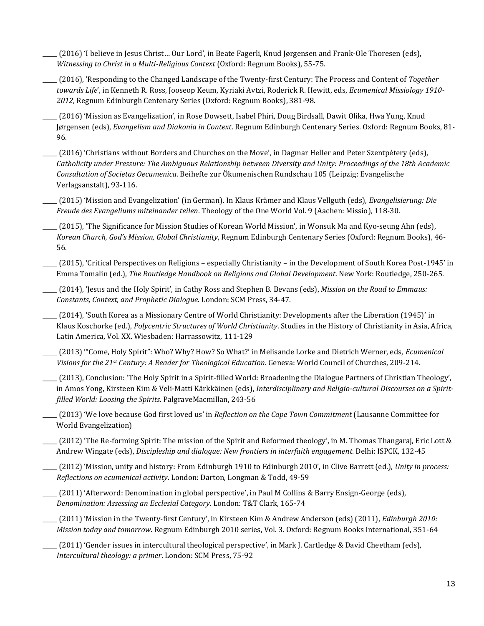\_\_\_\_\_ (2016) 'I believe in Jesus Christ… Our Lord', in Beate Fagerli, Knud Jørgensen and Frank-Ole Thoresen (eds), *Witnessing to Christ in a Multi-Religious Context* (Oxford: Regnum Books), 55-75.

\_\_\_\_\_ (2016), 'Responding to the Changed Landscape of the Twenty-first Century: The Process and Content of *Together towards Life*', in Kenneth R. Ross, Jooseop Keum, Kyriaki Avtzi, Roderick R. Hewitt, eds, *Ecumenical Missiology 1910- 2012*, Regnum Edinburgh Centenary Series (Oxford: Regnum Books), 381-98.

\_\_\_\_\_ (2016) 'Mission as Evangelization', in Rose Dowsett, Isabel Phiri, Doug Birdsall, Dawit Olika, Hwa Yung, Knud Jørgensen (eds), *Evangelism and Diakonia in Context*. Regnum Edinburgh Centenary Series. Oxford: Regnum Books, 81- 96.

\_\_\_\_\_ (2016) 'Christians without Borders and Churches on the Move', in Dagmar Heller and Peter Szentpétery (eds), *Catholicity under Pressure: The Ambiguous Relationship between Diversity and Unity: Proceedings of the 18th Academic Consultation of Societas Oecumenica*. Beihefte zur Ökumenischen Rundschau 105 (Leipzig: Evangelische Verlagsanstalt), 93-116.

\_\_\_\_\_ (2015) 'Mission and Evangelization' (in German). In Klaus Krämer and Klaus Vellguth (eds), *Evangelisierung: Die Freude des Evangeliums miteinander teilen*. Theology of the One World Vol. 9 (Aachen: Missio), 118-30.

\_\_\_\_\_ (2015), 'The Significance for Mission Studies of Korean World Mission', in Wonsuk Ma and Kyo-seung Ahn (eds), *Korean Church, God's Mission, Global Christianity*, Regnum Edinburgh Centenary Series (Oxford: Regnum Books), 46- 56.

\_\_\_\_\_ (2015), 'Critical Perspectives on Religions – especially Christianity – in the Development of South Korea Post-1945' in Emma Tomalin (ed.), *The Routledge Handbook on Religions and Global Development*. New York: Routledge, 250-265.

\_\_\_\_\_ (2014), 'Jesus and the Holy Spirit', in Cathy Ross and Stephen B. Bevans (eds), *Mission on the Road to Emmaus: Constants, Context, and Prophetic Dialogue*. London: SCM Press, 34-47.

\_\_\_\_\_ (2014), 'South Korea as a Missionary Centre of World Christianity: Developments after the Liberation (1945)' in Klaus Koschorke (ed.), *Polycentric Structures of World Christianity*. Studies in the History of Christianity in Asia, Africa, Latin America, Vol. XX. Wiesbaden: Harrassowitz, 111-129

\_\_\_\_\_ (2013) '"Come, Holy Spirit": Who? Why? How? So What?' in Melisande Lorke and Dietrich Werner, eds, *Ecumenical Visions for the 21st Century: A Reader for Theological Education*. Geneva: World Council of Churches, 209-214.

\_\_\_\_\_ (2013), Conclusion: 'The Holy Spirit in a Spirit-filled World: Broadening the Dialogue Partners of Christian Theology', in Amos Yong, Kirsteen Kim & Veli-Matti Kärkkäinen (eds), *Interdisciplinary and Religio-cultural Discourses on a Spiritfilled World: Loosing the Spirits*. PalgraveMacmillan, 243-56

\_\_\_\_\_ (2013) 'We love because God first loved us' in *Reflection on the Cape Town Commitment* (Lausanne Committee for World Evangelization)

 $(2012)$  'The Re-forming Spirit: The mission of the Spirit and Reformed theology', in M. Thomas Thangaraj, Eric Lott & Andrew Wingate (eds), *Discipleship and dialogue: New frontiers in interfaith engagement*. Delhi: ISPCK, 132-45

\_\_\_\_\_ (2012) 'Mission, unity and history: From Edinburgh 1910 to Edinburgh 2010', in Clive Barrett (ed.), *Unity in process: Reflections on ecumenical activity*. London: Darton, Longman & Todd, 49-59

\_\_\_\_\_ (2011) 'Afterword: Denomination in global perspective', in Paul M Collins & Barry Ensign-George (eds), *Denomination: Assessing an Ecclesial Category*. London: T&T Clark, 165-74

\_\_\_\_\_ (2011) 'Mission in the Twenty-first Century', in Kirsteen Kim & Andrew Anderson (eds) (2011), *Edinburgh 2010: Mission today and tomorrow*. Regnum Edinburgh 2010 series, Vol. 3. Oxford: Regnum Books International, 351-64

\_\_\_\_\_ (2011) 'Gender issues in intercultural theological perspective', in Mark J. Cartledge & David Cheetham (eds), *Intercultural theology: a primer*. London: SCM Press, 75-92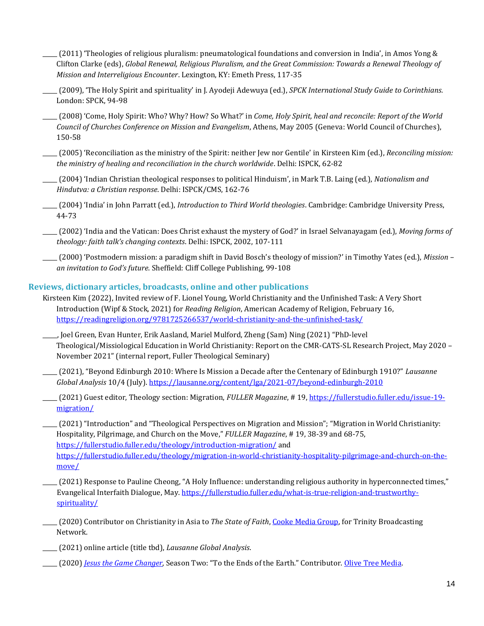- \_\_\_\_\_ (2011) 'Theologies of religious pluralism: pneumatological foundations and conversion in India', in Amos Yong & Clifton Clarke (eds), *Global Renewal, Religious Pluralism, and the Great Commission: Towards a Renewal Theology of Mission and Interreligious Encounter*. Lexington, KY: Emeth Press, 117-35
- \_\_\_\_\_ (2009), 'The Holy Spirit and spirituality' in J. Ayodeji Adewuya (ed.), *SPCK International Study Guide to Corinthians.* London: SPCK, 94-98
- \_\_\_\_\_ (2008) 'Come, Holy Spirit: Who? Why? How? So What?' in *Come, Holy Spirit, heal and reconcile: Report of the World Council of Churches Conference on Mission and Evangelism*, Athens, May 2005 (Geneva: World Council of Churches), 150-58
- \_\_\_\_\_ (2005) 'Reconciliation as the ministry of the Spirit: neither Jew nor Gentile' in Kirsteen Kim (ed.), *Reconciling mission: the ministry of healing and reconciliation in the church worldwide*. Delhi: ISPCK, 62-82
- \_\_\_\_\_ (2004) 'Indian Christian theological responses to political Hinduism', in Mark T.B. Laing (ed.), *Nationalism and Hindutva: a Christian response*. Delhi: ISPCK/CMS, 162-76
- \_\_\_\_\_ (2004) 'India' in John Parratt (ed.), *Introduction to Third World theologies*. Cambridge: Cambridge University Press, 44-73
- \_\_\_\_\_ (2002) 'India and the Vatican: Does Christ exhaust the mystery of God?' in Israel Selvanayagam (ed.), *Moving forms of theology: faith talk's changing contexts*. Delhi: ISPCK, 2002, 107-111
- \_\_\_\_\_ (2000) 'Postmodern mission: a paradigm shift in David Bosch's theology of mission?' in Timothy Yates (ed.), *Mission – an invitation to God's future*. Sheffield: Cliff College Publishing, 99-108

## **Reviews, dictionary articles, broadcasts, online and other publications**

- Kirsteen Kim (2022), Invited review of F. Lionel Young, World Christianity and the Unfinished Task: A Very Short Introduction (Wipf & Stock, 2021) for *Reading Religion*, American Academy of Religion, February 16, <https://readingreligion.org/9781725266537/world-christianity-and-the-unfinished-task/>
- \_\_\_\_\_, Joel Green, Evan Hunter, Erik Aasland, Mariel Mulford, Zheng (Sam) Ning (2021) "PhD-level Theological/Missiological Education in World Christianity: Report on the CMR-CATS-SL Research Project, May 2020 – November 2021" (internal report, Fuller Theological Seminary)
- \_\_\_\_\_ (2021), "Beyond Edinburgh 2010: Where Is Mission a Decade after the Centenary of Edinburgh 1910?" *Lausanne Global Analysis* 10/4 (July).<https://lausanne.org/content/lga/2021-07/beyond-edinburgh-2010>
- \_\_\_\_\_ (2021) Guest editor, Theology section: Migration, *FULLER Magazine*, # 19, [https://fullerstudio.fuller.edu/issue-19](https://fullerstudio.fuller.edu/issue-19-migration/) [migration/](https://fullerstudio.fuller.edu/issue-19-migration/)
- \_\_\_\_\_ (2021) "Introduction" and "Theological Perspectives on Migration and Mission"; "Migration in World Christianity: Hospitality, Pilgrimage, and Church on the Move," *FULLER Magazine*, # 19, 38-39 and 68-75, <https://fullerstudio.fuller.edu/theology/introduction-migration/> and [https://fullerstudio.fuller.edu/theology/migration-in-world-christianity-hospitality-pilgrimage-and-church-on-the](https://fullerstudio.fuller.edu/theology/migration-in-world-christianity-hospitality-pilgrimage-and-church-on-the-move/)[move/](https://fullerstudio.fuller.edu/theology/migration-in-world-christianity-hospitality-pilgrimage-and-church-on-the-move/)
- \_\_\_\_\_ (2021) Response to Pauline Cheong, "A Holy Influence: understanding religious authority in hyperconnected times," Evangelical Interfaith Dialogue, May. [https://fullerstudio.fuller.edu/what-is-true-religion-and-trustworthy](https://fullerstudio.fuller.edu/what-is-true-religion-and-trustworthy-spirituality/)[spirituality/](https://fullerstudio.fuller.edu/what-is-true-religion-and-trustworthy-spirituality/)
- \_\_\_\_\_ (2020) Contributor on Christianity in Asia to *The State of Faith*[, Cooke Media Group,](https://cookemediagroup.com/) for Trinity Broadcasting Network.
- \_\_\_\_\_ (2021) online article (title tbd), *Lausanne Global Analysis*.
- \_\_\_\_\_ (2020) *[Jesus the Game Changer](https://www.olivetreemedia.com.au/jesus-the-game-changer/)*, Season Two: "To the Ends of the Earth." Contributor. [Olive Tree Media.](https://www.olivetreemedia.com.au/)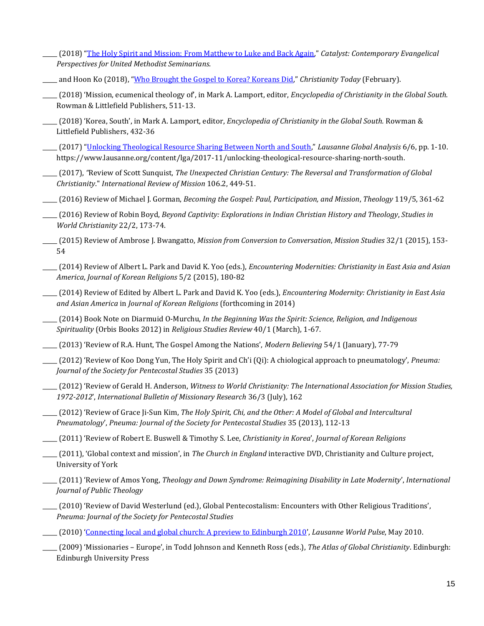- \_\_\_\_\_ (2018) "[The Holy Spirit and Mission: From Matthew to Luke and Back Again,](http://www.catalystresources.org/the-holy-spirit-and-mission-from-matthew-to-luke-and-back-again)" *Catalyst: Contemporary Evangelical Perspectives for United Methodist Seminarians*.
- \_\_\_\_\_ and Hoon Ko (2018), "[Who Brought the Gospel to Korea? Koreans Did,](https://www.christianitytoday.com/history/2018/february/korean-christianity.html)" *Christianity Today* (February).
- \_\_\_\_\_ (2018) 'Mission, ecumenical theology of', in Mark A. Lamport, editor, *Encyclopedia of Christianity in the Global South.*  Rowman & Littlefield Publishers, 511-13.
- \_\_\_\_\_ (2018) 'Korea, South', in Mark A. Lamport, editor, *Encyclopedia of Christianity in the Global South.* Rowman & Littlefield Publishers, 432-36
- \_\_\_\_\_ (2017) "[Unlocking Theological Resource Sharing Between North and South](https://www.lausanne.org/content/lga/2017-11/unlocking-theological-resource-sharing-north-south)," *Lausanne Global Analysis* 6/6, pp. 1-10. https://www.lausanne.org/content/lga/2017-11/unlocking-theological-resource-sharing-north-south.
- \_\_\_\_\_ (2017), *"*Review of Scott Sunquist, *The Unexpected Christian Century: The Reversal and Transformation of Global Christianity*." *International Review of Mission* 106.2, 449-51.
- \_\_\_\_\_ (2016) Review of Michael J. Gorman, *Becoming the Gospel: Paul, Participation, and Mission*, *Theology* 119/5, 361-62
- \_\_\_\_\_ (2016) Review of Robin Boyd, *Beyond Captivity: Explorations in Indian Christian History and Theology*, *Studies in World Christianity* 22/2, 173-74.
- \_\_\_\_\_ (2015) Review of Ambrose J. Bwangatto, *Mission from Conversion to Conversation*, *Mission Studies* 32/1 (2015), 153- 54
- \_\_\_\_\_ (2014) Review of Albert L. Park and David K. Yoo (eds.), *Encountering Modernities: Christianity in East Asia and Asian America*, *Journal of Korean Religions* 5/2 (2015), 180-82
- \_\_\_\_\_ (2014) Review of Edited by Albert L. Park and David K. Yoo (eds.), *Encountering Modernity: Christianity in East Asia and Asian America* in *Journal of Korean Religions* (forthcoming in 2014)
- \_\_\_\_\_ (2014) Book Note on Diarmuid O-Murchu, *In the Beginning Was the Spirit: Science, Religion, and Indigenous Spirituality* (Orbis Books 2012) in *Religious Studies Review* 40/1 (March), 1-67.
- \_\_\_\_\_ (2013) 'Review of R.A. Hunt, The Gospel Among the Nations', *Modern Believing* 54/1 (January), 77-79
- \_\_\_\_\_ (2012) 'Review of Koo Dong Yun, The Holy Spirit and Ch'i (Qi): A chiological approach to pneumatology', *Pneuma: Journal of the Society for Pentecostal Studies* 35 (2013)
- \_\_\_\_\_ (2012) 'Review of Gerald H. Anderson, *Witness to World Christianity: The International Association for Mission Studies, 1972-2012*', *International Bulletin of Missionary Research* 36/3 (July), 162
- \_\_\_\_\_ (2012) 'Review of Grace Ji-Sun Kim, *The Holy Spirit, Chi, and the Other: A Model of Global and Intercultural Pneumatology*', *Pneuma: Journal of the Society for Pentecostal Studies* 35 (2013), 112-13
- \_\_\_\_\_ (2011) 'Review of Robert E. Buswell & Timothy S. Lee, *Christianity in Korea*', *Journal of Korean Religions*
- \_\_\_\_\_ (2011), 'Global context and mission', in *The Church in England* interactive DVD, Christianity and Culture project, University of York
- \_\_\_\_\_ (2011) 'Review of Amos Yong, *Theology and Down Syndrome: Reimagining Disability in Late Modernity*', *International Journal of Public Theology*
- \_\_\_\_\_ (2010) 'Review of David Westerlund (ed.), Global Pentecostalism: Encounters with Other Religious Traditions', *Pneuma: Journal of the Society for Pentecostal Studies*
- \_\_\_\_\_ (2010) '[Connecting local and global church: A preview to Edinburgh 2010](http://www.lausanneworldpulse.com/perspectives.php/1277/05-2010)', *Lausanne World Pulse*, May 2010.
- \_\_\_\_\_ (2009) 'Missionaries Europe', in Todd Johnson and Kenneth Ross (eds.), *The Atlas of Global Christianity*. Edinburgh: Edinburgh University Press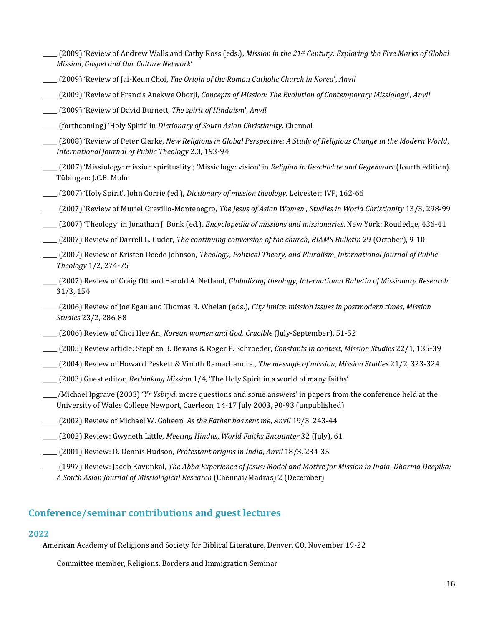- \_\_\_\_\_ (2009) 'Review of Andrew Walls and Cathy Ross (eds.), *Mission in the 21st Century: Exploring the Five Marks of Global Mission*, *Gospel and Our Culture Network*'
- \_\_\_\_\_ (2009) 'Review of Jai-Keun Choi, *The Origin of the Roman Catholic Church in Korea*', *Anvil*
- \_\_\_\_\_ (2009) 'Review of Francis Anekwe Oborji, *Concepts of Mission: The Evolution of Contemporary Missiology*', *Anvil*
- \_\_\_\_\_ (2009) 'Review of David Burnett, *The spirit of Hinduism*', *Anvil*
- \_\_\_\_\_ (forthcoming) 'Holy Spirit' in *Dictionary of South Asian Christianity*. Chennai
- \_\_\_\_\_ (2008) 'Review of Peter Clarke, *New Religions in Global Perspective: A Study of Religious Change in the Modern World*, *International Journal of Public Theology* 2.3, 193-94
- \_\_\_\_\_ (2007) 'Missiology: mission spirituality'; 'Missiology: vision' in *Religion in Geschichte und Gegenwart* (fourth edition). Tübingen: J.C.B. Mohr
- \_\_\_\_\_ (2007) 'Holy Spirit', John Corrie (ed.), *Dictionary of mission theology*. Leicester: IVP, 162-66
- \_\_\_\_\_ (2007) 'Review of Muriel Orevillo-Montenegro, *The Jesus of Asian Women*', *Studies in World Christianity* 13/3, 298-99
- \_\_\_\_\_ (2007) 'Theology' in Jonathan J. Bonk (ed.), *Encyclopedia of missions and missionaries*. New York: Routledge, 436-41
- \_\_\_\_\_ (2007) Review of Darrell L. Guder, *The continuing conversion of the church*, *BIAMS Bulletin* 29 (October), 9-10
- \_\_\_\_\_ (2007) Review of Kristen Deede Johnson, *Theology, Political Theory, and Pluralism*, *International Journal of Public Theology* 1/2, 274-75
- \_\_\_\_\_ (2007) Review of Craig Ott and Harold A. Netland, *Globalizing theology*, *International Bulletin of Missionary Research* 31/3, 154
- \_\_\_\_\_ (2006) Review of Joe Egan and Thomas R. Whelan (eds.), *City limits: mission issues in postmodern times*, *Mission Studies* 23/2, 286-88
- \_\_\_\_\_ (2006) Review of Choi Hee An, *Korean women and God*, *Crucible* (July-September), 51-52
- \_\_\_\_\_ (2005) Review article: Stephen B. Bevans & Roger P. Schroeder, *Constants in context*, *Mission Studies* 22/1, 135-39
- \_\_\_\_\_ (2004) Review of Howard Peskett & Vinoth Ramachandra , *The message of mission*, *Mission Studies* 21/2, 323-324
- \_\_\_\_\_ (2003) Guest editor, *Rethinking Mission* 1/4, 'The Holy Spirit in a world of many faiths'
- \_\_\_\_\_/Michael Ipgrave (2003) '*Yr Ysbryd*: more questions and some answers' in papers from the conference held at the University of Wales College Newport, Caerleon, 14-17 July 2003, 90-93 (unpublished)
- \_\_\_\_\_ (2002) Review of Michael W. Goheen, *As the Father has sent me*, *Anvil* 19/3, 243-44
- \_\_\_\_\_ (2002) Review: Gwyneth Little, *Meeting Hindus*, *World Faiths Encounter* 32 (July), 61
- \_\_\_\_\_ (2001) Review: D. Dennis Hudson, *Protestant origins in India*, *Anvil* 18/3, 234-35
	- \_\_\_\_\_ (1997) Review: Jacob Kavunkal, *The Abba Experience of Jesus: Model and Motive for Mission in India*, *Dharma Deepika: A South Asian Journal of Missiological Research* (Chennai/Madras) 2 (December)

## **Conference/seminar contributions and guest lectures**

### **2022**

American Academy of Religions and Society for Biblical Literature, Denver, CO, November 19-22

Committee member, Religions, Borders and Immigration Seminar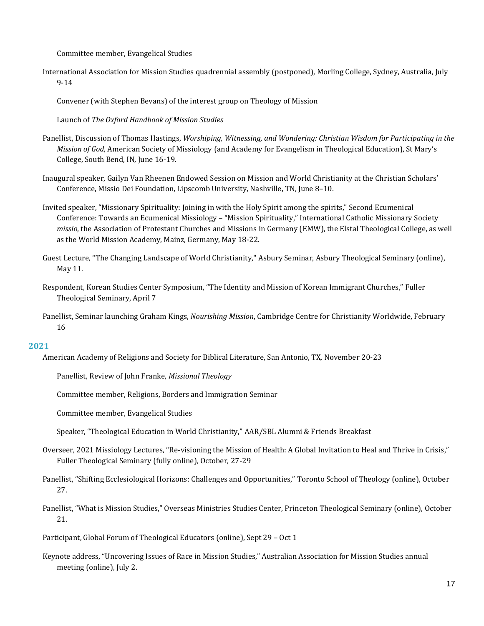Committee member, Evangelical Studies

International Association for Mission Studies quadrennial assembly (postponed), Morling College, Sydney, Australia, July 9-14

Convener (with Stephen Bevans) of the interest group on Theology of Mission

Launch of *The Oxford Handbook of Mission Studies*

- Panellist, Discussion of Thomas Hastings, *Worshiping, Witnessing, and Wondering: Christian Wisdom for Participating in the Mission of God*, American Society of Missiology (and Academy for Evangelism in Theological Education), St Mary's College, South Bend, IN, June 16-19.
- Inaugural speaker, Gailyn Van Rheenen Endowed Session on Mission and World Christianity at the Christian Scholars' Conference, Missio Dei Foundation, Lipscomb University, Nashville, TN, June 8–10.
- Invited speaker, "Missionary Spirituality: Joining in with the Holy Spirit among the spirits," Second Ecumenical Conference: Towards an Ecumenical Missiology – "Mission Spirituality," International Catholic Missionary Society *missio*, the Association of Protestant Churches and Missions in Germany (EMW), the Elstal Theological College, as well as the World Mission Academy, Mainz, Germany, May 18-22.
- Guest Lecture, "The Changing Landscape of World Christianity," Asbury Seminar, Asbury Theological Seminary (online), May 11.
- Respondent, Korean Studies Center Symposium, "The Identity and Mission of Korean Immigrant Churches," Fuller Theological Seminary, April 7
- Panellist, Seminar launching Graham Kings, *Nourishing Mission*, Cambridge Centre for Christianity Worldwide, February 16

### **2021**

American Academy of Religions and Society for Biblical Literature, San Antonio, TX, November 20-23

Panellist, Review of John Franke, *Missional Theology*

Committee member, Religions, Borders and Immigration Seminar

Committee member, Evangelical Studies

- Speaker, "Theological Education in World Christianity," AAR/SBL Alumni & Friends Breakfast
- Overseer, 2021 Missiology Lectures, "Re-visioning the Mission of Health: A Global Invitation to Heal and Thrive in Crisis," Fuller Theological Seminary (fully online), October, 27-29
- Panellist, "Shifting Ecclesiological Horizons: Challenges and Opportunities," Toronto School of Theology (online), October 27.
- Panellist, "What is Mission Studies," Overseas Ministries Studies Center, Princeton Theological Seminary (online), October 21.
- Participant, Global Forum of Theological Educators (online), Sept 29 Oct 1
- Keynote address, "Uncovering Issues of Race in Mission Studies," Australian Association for Mission Studies annual meeting (online), July 2.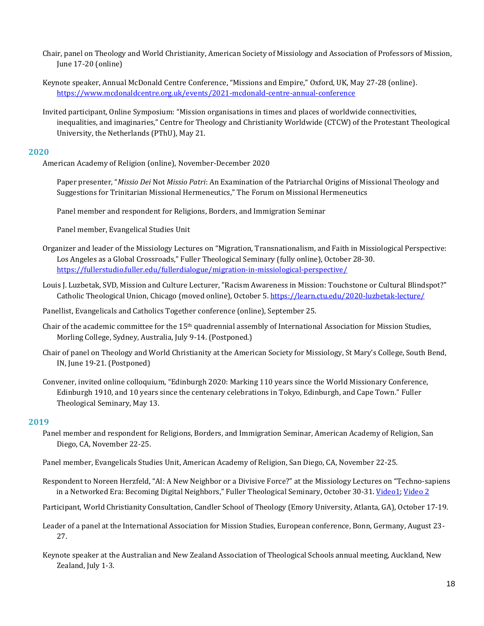- Chair, panel on Theology and World Christianity, American Society of Missiology and Association of Professors of Mission, June 17-20 (online)
- Keynote speaker, Annual McDonald Centre Conference, "Missions and Empire," Oxford, UK, May 27-28 (online). <https://www.mcdonaldcentre.org.uk/events/2021-mcdonald-centre-annual-conference>
- Invited participant, Online Symposium: "Mission organisations in times and places of worldwide connectivities, inequalities, and imaginaries," Centre for Theology and Christianity Worldwide (CTCW) of the Protestant Theological University, the Netherlands (PThU), May 21.

American Academy of Religion (online), November-December 2020

Paper presenter, "*Missio Dei* Not *Missio Patri*: An Examination of the Patriarchal Origins of Missional Theology and Suggestions for Trinitarian Missional Hermeneutics," The Forum on Missional Hermeneutics

Panel member and respondent for Religions, Borders, and Immigration Seminar

Panel member, Evangelical Studies Unit

- Organizer and leader of the Missiology Lectures on "Migration, Transnationalism, and Faith in Missiological Perspective: Los Angeles as a Global Crossroads," Fuller Theological Seminary (fully online), October 28-30. <https://fullerstudio.fuller.edu/fullerdialogue/migration-in-missiological-perspective/>
- Louis J. Luzbetak, SVD, Mission and Culture Lecturer, "Racism Awareness in Mission: Touchstone or Cultural Blindspot?" Catholic Theological Union, Chicago (moved online), October 5. <https://learn.ctu.edu/2020-luzbetak-lecture/>

Panellist, Evangelicals and Catholics Together conference (online), September 25.

- Chair of the academic committee for the 15th quadrennial assembly of International Association for Mission Studies, Morling College, Sydney, Australia, July 9-14. (Postponed.)
- Chair of panel on Theology and World Christianity at the American Society for Missiology, St Mary's College, South Bend, IN, June 19-21. (Postponed)
- Convener, invited online colloquium, "Edinburgh 2020: Marking 110 years since the World Missionary Conference, Edinburgh 1910, and 10 years since the centenary celebrations in Tokyo, Edinburgh, and Cape Town." Fuller Theological Seminary, May 13.

- Panel member and respondent for Religions, Borders, and Immigration Seminar, American Academy of Religion, San Diego, CA, November 22-25.
- Panel member, Evangelicals Studies Unit, American Academy of Religion, San Diego, CA, November 22-25.
- Respondent to Noreen Herzfeld, "AI: A New Neighbor or a Divisive Force?" at the Missiology Lectures on "Techno-sapiens in a Networked Era: Becoming Digital Neighbors," Fuller Theological Seminary, October 30-31. [Video1;](https://fullerstudio.fuller.edu/response-kirsteen-kim-on-digital-technologys-disadvantages/) [Video 2](https://fullerstudio.fuller.edu/fuller-dialogues-becoming-digital-neighbors/)
- Participant, World Christianity Consultation, Candler School of Theology (Emory University, Atlanta, GA), October 17-19.
- Leader of a panel at the International Association for Mission Studies, European conference, Bonn, Germany, August 23- 27.
- Keynote speaker at the Australian and New Zealand Association of Theological Schools annual meeting, Auckland, New Zealand, July 1-3.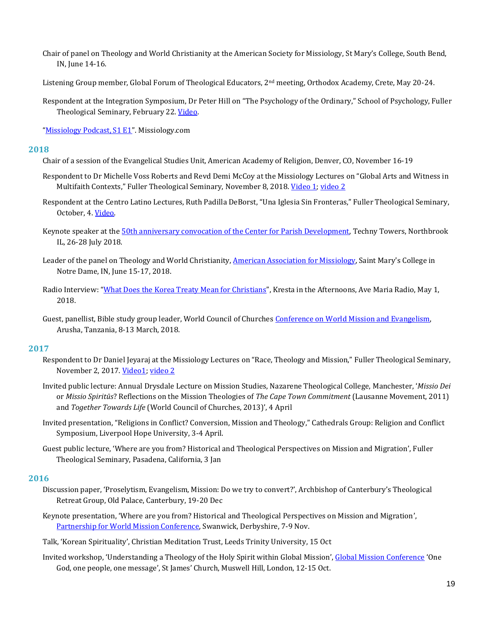- Chair of panel on Theology and World Christianity at the American Society for Missiology, St Mary's College, South Bend, IN, June 14-16.
- Listening Group member, Global Forum of Theological Educators, 2<sup>nd</sup> meeting, Orthodox Academy, Crete, May 20-24.
- Respondent at the Integration Symposium, Dr Peter Hill on "The Psychology of the Ordinary," School of Psychology, Fuller Theological Seminary, February 22[. Video.](https://youtu.be/uMzKC2EE6T4?list=UUFkP_44u1f2WLNRr_1TIg4g)

"[Missiology Podcast, S1 E1](http://missiology.com/podcast/Missiology-Podcast-S1E1)". Missiology.com

#### **2018**

- Chair of a session of the Evangelical Studies Unit, American Academy of Religion, Denver, CO, November 16-19
- Respondent to Dr Michelle Voss Roberts and Revd Demi McCoy at the Missiology Lectures on "Global Arts and Witness in Multifaith Contexts," Fuller Theological Seminary, November 8, 2018. [Video](https://www.youtube.com/watch?v=sNetwc1IAUs) 1[; video 2](https://www.youtube.com/watch?v=RLjs5X44PGU)
- Respondent at the Centro Latino Lectures, Ruth Padilla DeBorst, "Una Iglesia Sin Fronteras," Fuller Theological Seminary, October, 4. [Video.](https://fullerstudio.fuller.edu/fuller-dialogues-a-church-without-borders/)
- Keynote speaker at the [50th anniversary convocation of the Center for Parish Development,](https://missionalchurch.org/resources/missional-church-convocation/its-a-party/) Techny Towers, Northbrook IL, 26-28 July 2018.
- Leader of the panel on Theology and World Christianity, [American Association for Missiology,](https://www.asmweb.org/content/annual-meeting) Saint Mary's College in Notre Dame, IN, June 15-17, 2018.
- Radio Interview: "[What Does the Korea Treaty Mean for Christians](https://avemariaradio.net/program/kresta-in-the-afternoon/)", Kresta in the Afternoons, Ave Maria Radio, May 1, 2018.
- Guest, panellist, Bible study group leader, World Council of Churche[s Conference on World Mission and Evangelism,](https://www.oikoumene.org/en/mission2018) Arusha, Tanzania, 8-13 March, 2018.

### **2017**

- Respondent to Dr Daniel Jeyaraj at the Missiology Lectures on "Race, Theology and Mission," Fuller Theological Seminary, November 2, 2017. [Video1;](https://www.youtube.com/watch?v=hlJqvGBJMFM) [video 2](https://www.youtube.com/watch?v=1brOjdQxB-0)
- Invited public lecture: Annual Drysdale Lecture on Mission Studies, Nazarene Theological College, Manchester, '*Missio Dei* or *Missio Spiritūs*? Reflections on the Mission Theologies of *The Cape Town Commitment* (Lausanne Movement, 2011) and *Together Towards Life* (World Council of Churches, 2013)', 4 April
- Invited presentation, "Religions in Conflict? Conversion, Mission and Theology," Cathedrals Group: Religion and Conflict Symposium, Liverpool Hope University, 3-4 April.
- Guest public lecture, 'Where are you from? Historical and Theological Perspectives on Mission and Migration', Fuller Theological Seminary, Pasadena, California, 3 Jan

- Discussion paper, 'Proselytism, Evangelism, Mission: Do we try to convert?', Archbishop of Canterbury's Theological Retreat Group, Old Palace, Canterbury, 19-20 Dec
- Keynote presentation, 'Where are you from? Historical and Theological Perspectives on Mission and Migration', [Partnership for World Mission Conference,](https://www.churchofengland.org/our-faith/mission/world-mission/2016-partnership-for-world-mission-conference.aspx) Swanwick, Derbyshire, 7-9 Nov.
- Talk, 'Korean Spirituality', Christian Meditation Trust, Leeds Trinity University, 15 Oct
- Invited workshop, 'Understanding a Theology of the Holy Spirit within Global Mission', [Global Mission Conference](https://globalmissionconference2016.net/programme/) 'One God, one people, one message', St James' Church, Muswell Hill, London, 12-15 Oct.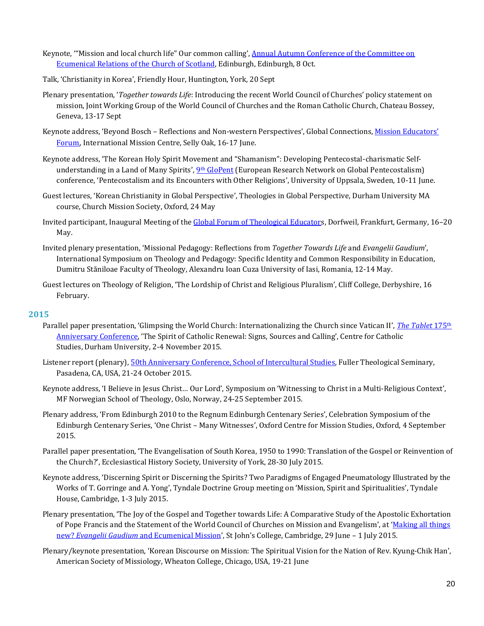- Keynote, '"Mission and local church life" Our common calling', [Annual Autumn Conference of the Committee on](http://www.churchofscotland.org.uk/__data/assets/pdf_file/0016/22525/Autumn_Conference_Flyer.pdf)  [Ecumenical Relations of the Church of Scotland,](http://www.churchofscotland.org.uk/__data/assets/pdf_file/0016/22525/Autumn_Conference_Flyer.pdf) Edinburgh, Edinburgh, 8 Oct.
- Talk, 'Christianity in Korea', Friendly Hour, Huntington, York, 20 Sept
- Plenary presentation, '*Together towards Life*: Introducing the recent World Council of Churches' policy statement on mission, Joint Working Group of the World Council of Churches and the Roman Catholic Church, Chateau Bossey, Geneva, 13-17 Sept
- Keynote address, 'Beyond Bosch Reflections and Non-western Perspectives', Global Connections, [Mission Educators'](http://www.globalconnections.org.uk/interest-groups/mission-educators-forum)  [Forum](http://www.globalconnections.org.uk/interest-groups/mission-educators-forum), International Mission Centre, Selly Oak, 16-17 June.
- Keynote address, 'The Korean Holy Spirit Movement and "Shamanism": Developing Pentecostal-charismatic Self-understanding in a Land of Many Spirits', 9<sup>th</sup> [GloPent](https://www.glopent.net/Members/webmaster/uppsala-2016/uppsala-2016-call) (European Research Network on Global Pentecostalism) conference, 'Pentecostalism and its Encounters with Other Religions', University of Uppsala, Sweden, 10-11 June.
- Guest lectures, 'Korean Christianity in Global Perspective', Theologies in Global Perspective, Durham University MA course, Church Mission Society, Oxford, 24 May
- Invited participant, Inaugural Meeting of the [Global Forum of Theological Educators](http://www.gfte.org/), Dorfweil, Frankfurt, Germany, 16–20 May.
- Invited plenary presentation, 'Missional Pedagogy: Reflections from *Together Towards Life* and *Evangelii Gaudium*', International Symposium on Theology and Pedagogy: Specific Identity and Common Responsibility in Education, Dumitru Stăniloae Faculty of Theology, Alexandru Ioan Cuza University of Iasi, Romania, 12-14 May.
- Guest lectures on Theology of Religion, 'The Lordship of Christ and Religious Pluralism', Cliff College, Derbyshire, 16 February.

- Parallel paper presentation, 'Glimpsing the World Church: Internationalizing the Church since Vatican II', *[The Tablet](https://www.dur.ac.uk/theology.religion/ccs/constructivetheology/tablet175/)* 175th [Anniversary Conference](https://www.dur.ac.uk/theology.religion/ccs/constructivetheology/tablet175/), 'The Spirit of Catholic Renewal: Signs, Sources and Calling', Centre for Catholic Studies, Durham University, 2-4 November 2015.
- Listener report (plenary)[, 50th Anniversary Conference, School of Intercultural Studies,](http://fuller.edu/communication/event-recap/sis-50th-anniversary-and-2015-missiology-lectures/) Fuller Theological Seminary, Pasadena, CA, USA, 21-24 October 2015.
- Keynote address, 'I Believe in Jesus Christ… Our Lord', Symposium on 'Witnessing to Christ in a Multi-Religious Context', MF Norwegian School of Theology, Oslo, Norway, 24-25 September 2015.
- Plenary address, 'From Edinburgh 2010 to the Regnum Edinburgh Centenary Series', Celebration Symposium of the Edinburgh Centenary Series, 'One Christ – Many Witnesses', Oxford Centre for Mission Studies, Oxford, 4 September 2015.
- Parallel paper presentation, 'The Evangelisation of South Korea, 1950 to 1990: Translation of the Gospel or Reinvention of the Church?', Ecclesiastical History Society, University of York, 28-30 July 2015.
- Keynote address, 'Discerning Spirit or Discerning the Spirits? Two Paradigms of Engaged Pneumatology Illustrated by the Works of T. Gorringe and A. Yong', Tyndale Doctrine Group meeting on 'Mission, Spirit and Spiritualities', Tyndale House, Cambridge, 1-3 July 2015.
- Plenary presentation, 'The Joy of the Gospel and Together towards Life: A Comparative Study of the Apostolic Exhortation of Pope Francis and the Statement of the World Council of Churches on Mission and Evangelism', at '[Making all things](http://evangeliigaudium.co.uk/)  new? *Evangelii Gaudium* [and Ecumenical Mission](http://evangeliigaudium.co.uk/)', St John's College, Cambridge, 29 June – 1 July 2015.
- Plenary/keynote presentation, 'Korean Discourse on Mission: The Spiritual Vision for the Nation of Rev. Kyung-Chik Han', American Society of Missiology, Wheaton College, Chicago, USA, 19-21 June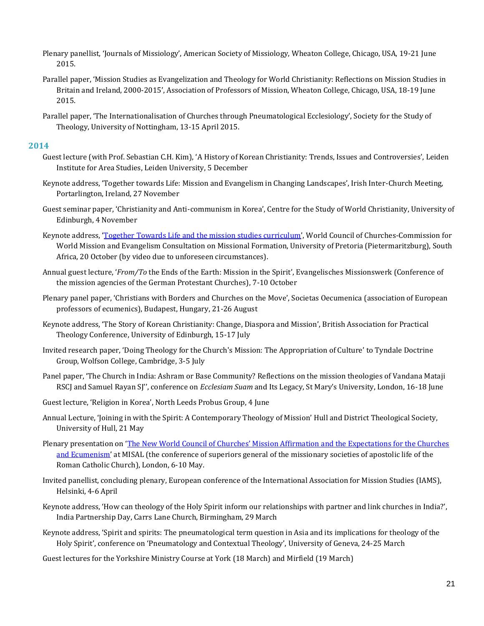- Plenary panellist, 'Journals of Missiology', American Society of Missiology, Wheaton College, Chicago, USA, 19-21 June 2015.
- Parallel paper, 'Mission Studies as Evangelization and Theology for World Christianity: Reflections on Mission Studies in Britain and Ireland, 2000-2015', Association of Professors of Mission, Wheaton College, Chicago, USA, 18-19 June 2015.
- Parallel paper, 'The Internationalisation of Churches through Pneumatological Ecclesiology', Society for the Study of Theology, University of Nottingham, 13-15 April 2015.

- Guest lecture (with Prof. Sebastian C.H. Kim), 'A History of Korean Christianity: Trends, Issues and Controversies', Leiden Institute for Area Studies, Leiden University, 5 December
- Keynote address, 'Together towards Life: Mission and Evangelism in Changing Landscapes', Irish Inter-Church Meeting, Portarlington, Ireland, 27 November
- Guest seminar paper, 'Christianity and Anti-communism in Korea', Centre for the Study of World Christianity, University of Edinburgh, 4 November
- Keynote address, '[Together Towards Life and the mission studies curriculum](https://www.youtube.com/watch?v=sLBLLGkyyKA&list=UUrSbHbZdpuQf1QZCb0E4gVw)', World Council of Churches-Commission for World Mission and Evangelism Consultation on Missional Formation, University of Pretoria (Pietermaritzburg), South Africa, 20 October (by video due to unforeseen circumstances).
- Annual guest lecture, '*From/To* the Ends of the Earth: Mission in the Spirit', Evangelisches Missionswerk (Conference of the mission agencies of the German Protestant Churches), 7-10 October
- Plenary panel paper, 'Christians with Borders and Churches on the Move', Societas Oecumenica (association of European professors of ecumenics), Budapest, Hungary, 21-26 August
- Keynote address, 'The Story of Korean Christianity: Change, Diaspora and Mission', British Association for Practical Theology Conference, University of Edinburgh, 15-17 July
- Invited research paper, 'Doing Theology for the Church's Mission: The Appropriation of Culture' to Tyndale Doctrine Group, Wolfson College, Cambridge, 3-5 July
- Panel paper, 'The Church in India: Ashram or Base Community? Reflections on the mission theologies of Vandana Mataji RSCJ and Samuel Rayan SJ'', conference on *Ecclesiam Suam* and Its Legacy, St Mary's University, London, 16-18 June
- Guest lecture, 'Religion in Korea', North Leeds Probus Group, 4 June
- Annual Lecture, 'Joining in with the Spirit: A Contemporary Theology of Mission' Hull and District Theological Society, University of Hull, 21 May
- Plenary presentation on 'The New World Council of Churches' [Mission Affirmation and the Expectations for the Churches](http://www.millhillmissionaries.com/assets/kirsteen-kim-misal-presentation-2014.pdf)  [and Ecumenism](http://www.millhillmissionaries.com/assets/kirsteen-kim-misal-presentation-2014.pdf)' at MISAL (the conference of superiors general of the missionary societies of apostolic life of the Roman Catholic Church), London, 6-10 May.
- Invited panellist, concluding plenary, European conference of the International Association for Mission Studies (IAMS), Helsinki, 4-6 April
- Keynote address, 'How can theology of the Holy Spirit inform our relationships with partner and link churches in India?', India Partnership Day, Carrs Lane Church, Birmingham, 29 March
- Keynote address, 'Spirit and spirits: The pneumatological term question in Asia and its implications for theology of the Holy Spirit', conference on 'Pneumatology and Contextual Theology', University of Geneva, 24-25 March
- Guest lectures for the Yorkshire Ministry Course at York (18 March) and Mirfield (19 March)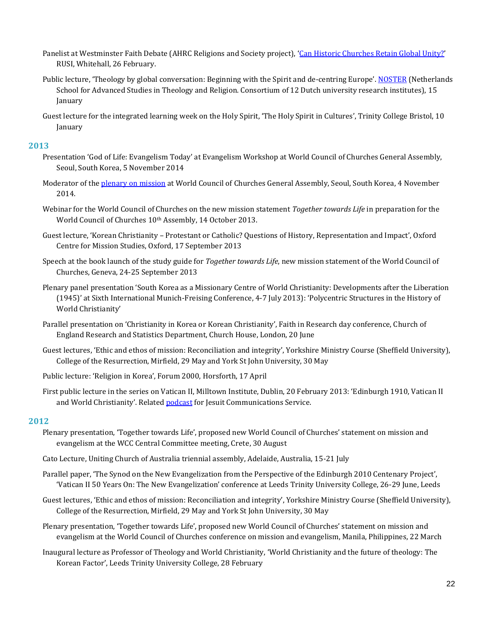- Panelist at Westminster Faith Debate (AHRC Religions and Society project), '[Can Historic Churches Retain Global Unity?](http://faithdebates.org.uk/debates/can-historic-global-church-maintain-central-authority-unity-or-devolve/)' RUSI, Whitehall, 26 February.
- Public lecture, 'Theology by global conversation: Beginning with the Spirit and de-centring Europe'. [NOSTER](http://noster.org/) (Netherlands School for Advanced Studies in Theology and Religion. Consortium of 12 Dutch university research institutes), 15 January
- Guest lecture for the integrated learning week on the Holy Spirit, 'The Holy Spirit in Cultures', Trinity College Bristol, 10 January

- Presentation 'God of Life: Evangelism Today' at Evangelism Workshop at World Council of Churches General Assembly, Seoul, South Korea, 5 November 2014
- Moderator of the [plenary on mission](https://www.youtube.com/watch?v=y3SXaQFXAjk&index=28&list=PLI22eVXX9FYnfyf1MgRd7AqUUlr_Ns9Kn) at World Council of Churches General Assembly, Seoul, South Korea, 4 November 2014.
- Webinar for the World Council of Churches on the new mission statement *Together towards Life* in preparation for the World Council of Churches 10<sup>th</sup> Assembly, 14 October 2013.
- Guest lecture, 'Korean Christianity Protestant or Catholic? Questions of History, Representation and Impact', Oxford Centre for Mission Studies, Oxford, 17 September 2013
- Speech at the book launch of the study guide for *Together towards Life*, new mission statement of the World Council of Churches, Geneva, 24-25 September 2013
- Plenary panel presentation 'South Korea as a Missionary Centre of World Christianity: Developments after the Liberation (1945)' at Sixth International Munich-Freising Conference, 4-7 July 2013): 'Polycentric Structures in the History of World Christianity'
- Parallel presentation on 'Christianity in Korea or Korean Christianity', Faith in Research day conference, Church of England Research and Statistics Department, Church House, London, 20 June
- Guest lectures, 'Ethic and ethos of mission: Reconciliation and integrity', Yorkshire Ministry Course (Sheffield University), College of the Resurrection, Mirfield, 29 May and York St John University, 30 May
- Public lecture: 'Religion in Korea', Forum 2000, Horsforth, 17 April
- First public lecture in the series on Vatican II, Milltown Institute, Dublin, 20 February 2013: 'Edinburgh 1910, Vatican II and World Christianity'. Related [podcast](http://www.jesuit.ie/content/onsite/irish-jesuit-podcasts/a-common-call) for Jesuit Communications Service.

- Plenary presentation, 'Together towards Life', proposed new World Council of Churches' statement on mission and evangelism at the WCC Central Committee meeting, Crete, 30 August
- Cato Lecture, Uniting Church of Australia triennial assembly, Adelaide, Australia, 15-21 July
- Parallel paper, 'The Synod on the New Evangelization from the Perspective of the Edinburgh 2010 Centenary Project', 'Vatican II 50 Years On: The New Evangelization' conference at Leeds Trinity University College, 26-29 June, Leeds
- Guest lectures, 'Ethic and ethos of mission: Reconciliation and integrity', Yorkshire Ministry Course (Sheffield University), College of the Resurrection, Mirfield, 29 May and York St John University, 30 May
- Plenary presentation, 'Together towards Life', proposed new World Council of Churches' statement on mission and evangelism at the World Council of Churches conference on mission and evangelism, Manila, Philippines, 22 March
- Inaugural lecture as Professor of Theology and World Christianity, 'World Christianity and the future of theology: The Korean Factor', Leeds Trinity University College, 28 February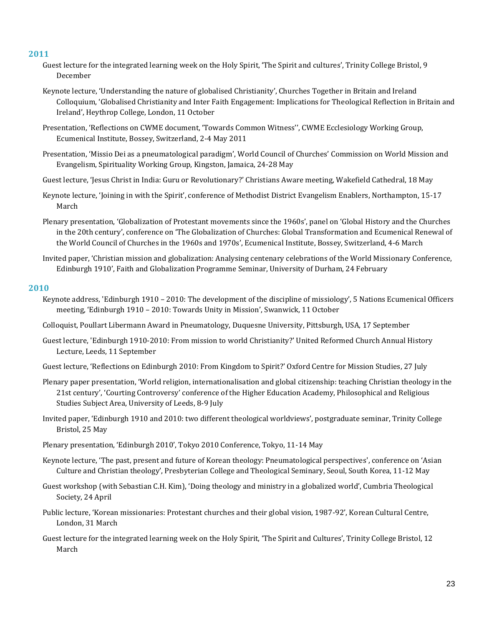- Guest lecture for the integrated learning week on the Holy Spirit, 'The Spirit and cultures', Trinity College Bristol, 9 December
- Keynote lecture, 'Understanding the nature of globalised Christianity', Churches Together in Britain and Ireland Colloquium, 'Globalised Christianity and Inter Faith Engagement: Implications for Theological Reflection in Britain and Ireland', Heythrop College, London, 11 October
- Presentation, 'Reflections on CWME document, 'Towards Common Witness'', CWME Ecclesiology Working Group, Ecumenical Institute, Bossey, Switzerland, 2-4 May 2011
- Presentation, 'Missio Dei as a pneumatological paradigm', World Council of Churches' Commission on World Mission and Evangelism, Spirituality Working Group, Kingston, Jamaica, 24-28 May
- Guest lecture, 'Jesus Christ in India: Guru or Revolutionary?' Christians Aware meeting, Wakefield Cathedral, 18 May
- Keynote lecture, 'Joining in with the Spirit', conference of Methodist District Evangelism Enablers, Northampton, 15-17 March
- Plenary presentation, 'Globalization of Protestant movements since the 1960s', panel on 'Global History and the Churches in the 20th century', conference on 'The Globalization of Churches: Global Transformation and Ecumenical Renewal of the World Council of Churches in the 1960s and 1970s', Ecumenical Institute, Bossey, Switzerland, 4-6 March
- Invited paper, 'Christian mission and globalization: Analysing centenary celebrations of the World Missionary Conference, Edinburgh 1910', Faith and Globalization Programme Seminar, University of Durham, 24 February

- Keynote address, 'Edinburgh 1910 2010: The development of the discipline of missiology', 5 Nations Ecumenical Officers meeting, 'Edinburgh 1910 – 2010: Towards Unity in Mission', Swanwick, 11 October
- Colloquist, Poullart Libermann Award in Pneumatology, Duquesne University, Pittsburgh, USA, 17 September
- Guest lecture, 'Edinburgh 1910-2010: From mission to world Christianity?' United Reformed Church Annual History Lecture, Leeds, 11 September
- Guest lecture, 'Reflections on Edinburgh 2010: From Kingdom to Spirit?' Oxford Centre for Mission Studies, 27 July
- Plenary paper presentation, 'World religion, internationalisation and global citizenship: teaching Christian theology in the 21st century', 'Courting Controversy' conference of the Higher Education Academy, Philosophical and Religious Studies Subject Area, University of Leeds, 8-9 July
- Invited paper, 'Edinburgh 1910 and 2010: two different theological worldviews', postgraduate seminar, Trinity College Bristol, 25 May
- Plenary presentation, 'Edinburgh 2010', Tokyo 2010 Conference, Tokyo, 11-14 May
- Keynote lecture, 'The past, present and future of Korean theology: Pneumatological perspectives', conference on 'Asian Culture and Christian theology', Presbyterian College and Theological Seminary, Seoul, South Korea, 11-12 May
- Guest workshop (with Sebastian C.H. Kim), 'Doing theology and ministry in a globalized world', Cumbria Theological Society, 24 April
- Public lecture, 'Korean missionaries: Protestant churches and their global vision, 1987-92', Korean Cultural Centre, London, 31 March
- Guest lecture for the integrated learning week on the Holy Spirit, 'The Spirit and Cultures', Trinity College Bristol, 12 March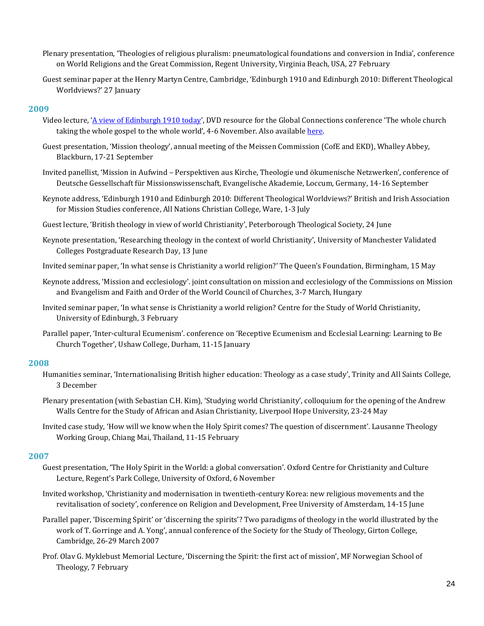- Plenary presentation, 'Theologies of religious pluralism: pneumatological foundations and conversion in India', conference on World Religions and the Great Commission, Regent University, Virginia Beach, USA, 27 February
- Guest seminar paper at the Henry Martyn Centre, Cambridge, 'Edinburgh 1910 and Edinburgh 2010: Different Theological Worldviews?' 27 January

- Video lecture, '[A view of Edinburgh 1910 today](http://www.youtube.com/watch?v=CVdru4XLDho)', DVD resource for the Global Connections conference 'The whole church taking the whole gospel to the whole world', 4-6 November. Also available [here.](http://www.youtube.com/watch?v=Omn2dUaTqxk)
- Guest presentation, 'Mission theology', annual meeting of the Meissen Commission (CofE and EKD), Whalley Abbey, Blackburn, 17-21 September
- Invited panellist, 'Mission in Aufwind Perspektiven aus Kirche, Theologie und ökumenische Netzwerken', conference of Deutsche Gessellschaft für Missionswissenschaft, Evangelische Akademie, Loccum, Germany, 14-16 September
- Keynote address, 'Edinburgh 1910 and Edinburgh 2010: Different Theological Worldviews?' British and Irish Association for Mission Studies conference, All Nations Christian College, Ware, 1-3 July
- Guest lecture, 'British theology in view of world Christianity', Peterborough Theological Society, 24 June
- Keynote presentation, 'Researching theology in the context of world Christianity', University of Manchester Validated Colleges Postgraduate Research Day, 13 June
- Invited seminar paper, 'In what sense is Christianity a world religion?' The Queen's Foundation, Birmingham, 15 May
- Keynote address, 'Mission and ecclesiology'. joint consultation on mission and ecclesiology of the Commissions on Mission and Evangelism and Faith and Order of the World Council of Churches, 3-7 March, Hungary
- Invited seminar paper, 'In what sense is Christianity a world religion? Centre for the Study of World Christianity, University of Edinburgh, 3 February
- Parallel paper, 'Inter-cultural Ecumenism'. conference on 'Receptive Ecumenism and Ecclesial Learning: Learning to Be Church Together', Ushaw College, Durham, 11-15 January

#### **2008**

- Humanities seminar, 'Internationalising British higher education: Theology as a case study', Trinity and All Saints College, 3 December
- Plenary presentation (with Sebastian C.H. Kim), 'Studying world Christianity', colloquium for the opening of the Andrew Walls Centre for the Study of African and Asian Christianity, Liverpool Hope University, 23-24 May
- Invited case study, 'How will we know when the Holy Spirit comes? The question of discernment'. Lausanne Theology Working Group, Chiang Mai, Thailand, 11-15 February

- Guest presentation, 'The Holy Spirit in the World: a global conversation'. Oxford Centre for Christianity and Culture Lecture, Regent's Park College, University of Oxford, 6 November
- Invited workshop, 'Christianity and modernisation in twentieth-century Korea: new religious movements and the revitalisation of society', conference on Religion and Development, Free University of Amsterdam, 14-15 June
- Parallel paper, 'Discerning Spirit' or 'discerning the spirits'? Two paradigms of theology in the world illustrated by the work of T. Gorringe and A. Yong', annual conference of the Society for the Study of Theology, Girton College, Cambridge, 26-29 March 2007
- Prof. Olav G. Myklebust Memorial Lecture, 'Discerning the Spirit: the first act of mission', MF Norwegian School of Theology, 7 February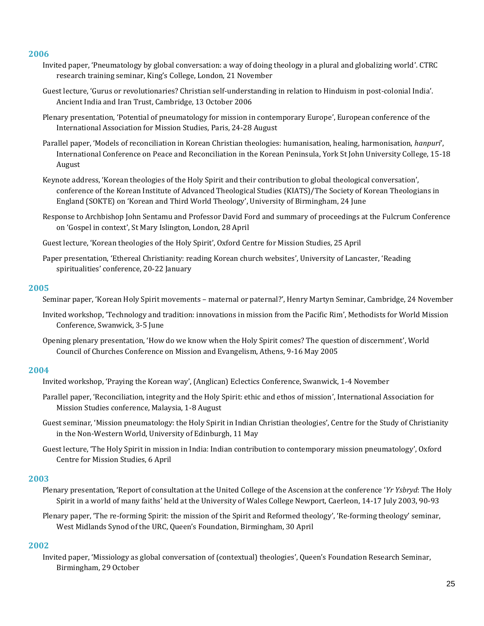- Invited paper, 'Pneumatology by global conversation: a way of doing theology in a plural and globalizing world'. CTRC research training seminar, King's College, London, 21 November
- Guest lecture, 'Gurus or revolutionaries? Christian self-understanding in relation to Hinduism in post-colonial India'. Ancient India and Iran Trust, Cambridge, 13 October 2006
- Plenary presentation, 'Potential of pneumatology for mission in contemporary Europe', European conference of the International Association for Mission Studies, Paris, 24-28 August
- Parallel paper, 'Models of reconciliation in Korean Christian theologies: humanisation, healing, harmonisation, *hanpuri*', International Conference on Peace and Reconciliation in the Korean Peninsula, York St John University College, 15-18 August
- Keynote address, 'Korean theologies of the Holy Spirit and their contribution to global theological conversation', conference of the Korean Institute of Advanced Theological Studies (KIATS)/The Society of Korean Theologians in England (SOKTE) on 'Korean and Third World Theology', University of Birmingham, 24 June
- Response to Archbishop John Sentamu and Professor David Ford and summary of proceedings at the Fulcrum Conference on 'Gospel in context', St Mary Islington, London, 28 April
- Guest lecture, 'Korean theologies of the Holy Spirit', Oxford Centre for Mission Studies, 25 April
- Paper presentation, 'Ethereal Christianity: reading Korean church websites', University of Lancaster, 'Reading spiritualities' conference, 20-22 January

#### **2005**

- Seminar paper, 'Korean Holy Spirit movements maternal or paternal?', Henry Martyn Seminar, Cambridge, 24 November
- Invited workshop, 'Technology and tradition: innovations in mission from the Pacific Rim', Methodists for World Mission Conference, Swanwick, 3-5 June
- Opening plenary presentation, 'How do we know when the Holy Spirit comes? The question of discernment', World Council of Churches Conference on Mission and Evangelism, Athens, 9-16 May 2005

### **2004**

- Invited workshop, 'Praying the Korean way', (Anglican) Eclectics Conference, Swanwick, 1-4 November
- Parallel paper, 'Reconciliation, integrity and the Holy Spirit: ethic and ethos of mission', International Association for Mission Studies conference, Malaysia, 1-8 August
- Guest seminar, 'Mission pneumatology: the Holy Spirit in Indian Christian theologies', Centre for the Study of Christianity in the Non-Western World, University of Edinburgh, 11 May
- Guest lecture, 'The Holy Spirit in mission in India: Indian contribution to contemporary mission pneumatology', Oxford Centre for Mission Studies, 6 April

#### **2003**

Plenary presentation, 'Report of consultation at the United College of the Ascension at the conference '*Yr Ysbryd*: The Holy Spirit in a world of many faiths' held at the University of Wales College Newport, Caerleon, 14-17 July 2003, 90-93

Plenary paper, 'The re-forming Spirit: the mission of the Spirit and Reformed theology', 'Re-forming theology' seminar, West Midlands Synod of the URC, Queen's Foundation, Birmingham, 30 April

### **2002**

Invited paper, 'Missiology as global conversation of (contextual) theologies', Queen's Foundation Research Seminar, Birmingham, 29 October